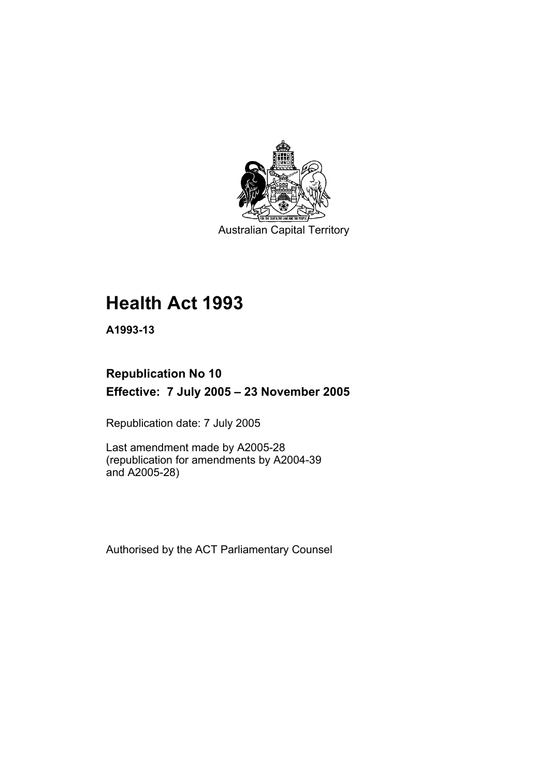

Australian Capital Territory

# **Health Act 1993**

**A1993-13** 

## **Republication No 10 Effective: 7 July 2005 – 23 November 2005**

Republication date: 7 July 2005

Last amendment made by A2005-28 (republication for amendments by A2004-39 and A2005-28)

Authorised by the ACT Parliamentary Counsel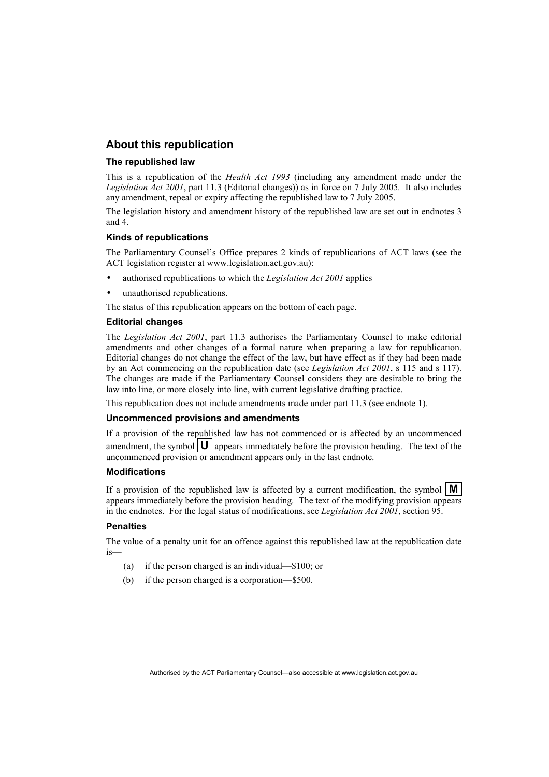## **About this republication**

### **The republished law**

This is a republication of the *Health Act 1993* (including any amendment made under the *Legislation Act 2001*, part 11.3 (Editorial changes)) as in force on 7 July 2005*.* It also includes any amendment, repeal or expiry affecting the republished law to 7 July 2005.

The legislation history and amendment history of the republished law are set out in endnotes 3 and 4.

### **Kinds of republications**

The Parliamentary Counsel's Office prepares 2 kinds of republications of ACT laws (see the ACT legislation register at www.legislation.act.gov.au):

- authorised republications to which the *Legislation Act 2001* applies
- unauthorised republications.

The status of this republication appears on the bottom of each page.

### **Editorial changes**

The *Legislation Act 2001*, part 11.3 authorises the Parliamentary Counsel to make editorial amendments and other changes of a formal nature when preparing a law for republication. Editorial changes do not change the effect of the law, but have effect as if they had been made by an Act commencing on the republication date (see *Legislation Act 2001*, s 115 and s 117). The changes are made if the Parliamentary Counsel considers they are desirable to bring the law into line, or more closely into line, with current legislative drafting practice.

This republication does not include amendments made under part 11.3 (see endnote 1).

### **Uncommenced provisions and amendments**

If a provision of the republished law has not commenced or is affected by an uncommenced amendment, the symbol  $\vert \mathbf{U} \vert$  appears immediately before the provision heading. The text of the uncommenced provision or amendment appears only in the last endnote.

### **Modifications**

If a provision of the republished law is affected by a current modification, the symbol  $\mathbf{M}$ appears immediately before the provision heading. The text of the modifying provision appears in the endnotes. For the legal status of modifications, see *Legislation Act 2001*, section 95.

### **Penalties**

The value of a penalty unit for an offence against this republished law at the republication date is—

- (a) if the person charged is an individual—\$100; or
- (b) if the person charged is a corporation—\$500.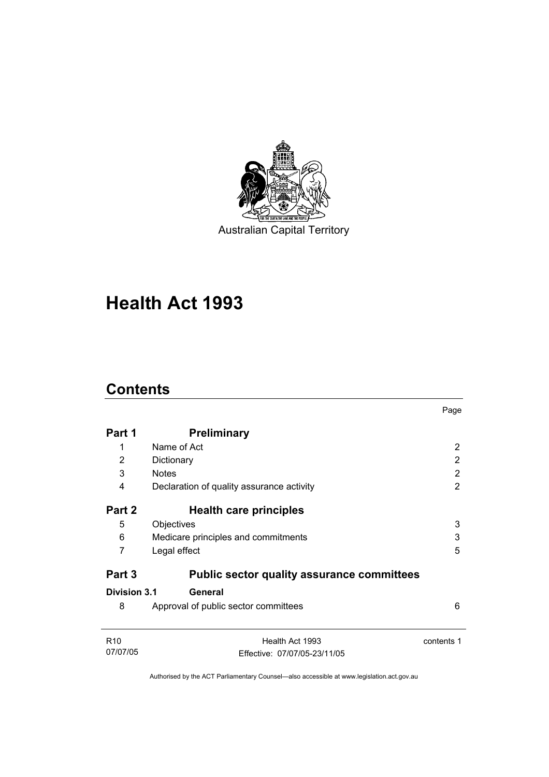

# **Health Act 1993**

## **Contents**

|                 |                                                   | Page       |
|-----------------|---------------------------------------------------|------------|
| Part 1          | <b>Preliminary</b>                                |            |
| 1               | Name of Act                                       | 2          |
| 2               | Dictionary                                        | 2          |
| 3               | <b>Notes</b>                                      | 2          |
| 4               | Declaration of quality assurance activity         | 2          |
| Part 2          | Health care principles                            |            |
| 5               | Objectives                                        | 3          |
| 6               | Medicare principles and commitments               | 3          |
| 7               | Legal effect                                      | 5          |
| Part 3          | <b>Public sector quality assurance committees</b> |            |
| Division 3.1    | General                                           |            |
| 8               | Approval of public sector committees              | 6          |
| R <sub>10</sub> | Health Act 1993                                   | contents 1 |
| 07/07/05        | Effective: 07/07/05-23/11/05                      |            |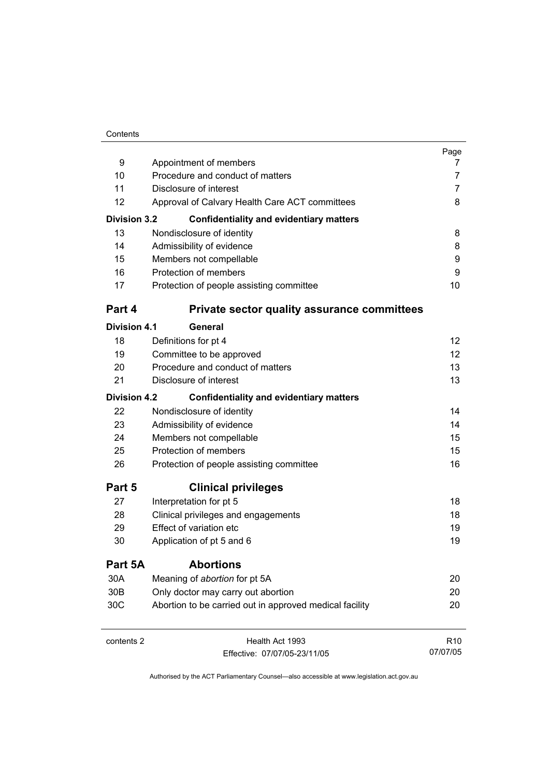|                     |                                                         | Page            |
|---------------------|---------------------------------------------------------|-----------------|
| 9                   | Appointment of members                                  | 7               |
| 10                  | Procedure and conduct of matters                        | 7               |
| 11                  | Disclosure of interest                                  | 7               |
| 12                  | Approval of Calvary Health Care ACT committees          | 8               |
| <b>Division 3.2</b> | <b>Confidentiality and evidentiary matters</b>          |                 |
| 13                  | Nondisclosure of identity                               | 8               |
| 14                  | Admissibility of evidence                               | 8               |
| 15                  | Members not compellable                                 | 9               |
| 16                  | Protection of members                                   | 9               |
| 17                  | Protection of people assisting committee                | 10              |
| Part 4              | <b>Private sector quality assurance committees</b>      |                 |
| <b>Division 4.1</b> | General                                                 |                 |
| 18                  | Definitions for pt 4                                    | 12              |
| 19                  | Committee to be approved                                | 12              |
| 20                  | Procedure and conduct of matters                        | 13              |
| 21                  | Disclosure of interest                                  | 13              |
| <b>Division 4.2</b> | <b>Confidentiality and evidentiary matters</b>          |                 |
| 22                  | Nondisclosure of identity                               | 14              |
| 23                  | Admissibility of evidence                               | 14              |
| 24                  | Members not compellable                                 | 15              |
| 25                  | Protection of members                                   | 15              |
| 26                  | Protection of people assisting committee                | 16              |
| Part 5              | <b>Clinical privileges</b>                              |                 |
| 27                  | Interpretation for pt 5                                 | 18              |
| 28                  | Clinical privileges and engagements                     | 18              |
| 29                  | Effect of variation etc                                 | 19              |
| 30                  | Application of pt 5 and 6                               | 19              |
| Part 5A             | <b>Abortions</b>                                        |                 |
| 30A                 | Meaning of abortion for pt 5A                           | 20              |
| 30B                 | Only doctor may carry out abortion                      | 20              |
| 30C                 | Abortion to be carried out in approved medical facility | 20              |
| contents 2          | Health Act 1993                                         | R <sub>10</sub> |

Authorised by the ACT Parliamentary Counsel—also accessible at www.legislation.act.gov.au

07/07/05

Effective: 07/07/05-23/11/05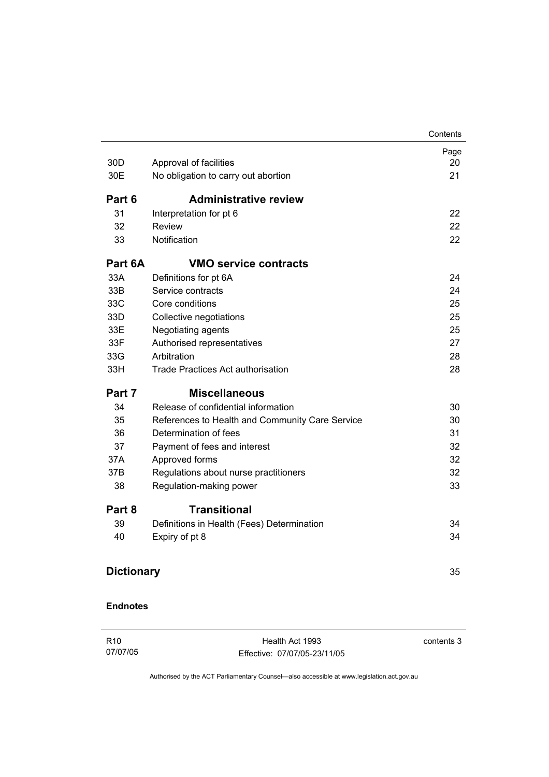|                   |                                                 | Contents |
|-------------------|-------------------------------------------------|----------|
|                   |                                                 | Page     |
| 30 <sub>D</sub>   | Approval of facilities                          | 20       |
| 30E               | No obligation to carry out abortion             | 21       |
| Part 6            | <b>Administrative review</b>                    |          |
| 31                | Interpretation for pt 6                         | 22       |
| 32                | <b>Review</b>                                   | 22       |
| 33                | Notification                                    | 22       |
| Part 6A           | <b>VMO service contracts</b>                    |          |
| 33A               | Definitions for pt 6A                           | 24       |
| 33B               | Service contracts                               | 24       |
| 33C               | Core conditions                                 | 25       |
| 33D               | Collective negotiations                         | 25       |
| 33E               | Negotiating agents                              | 25       |
| 33F               | Authorised representatives                      | 27       |
| 33G               | Arbitration                                     | 28       |
| 33H               | <b>Trade Practices Act authorisation</b>        | 28       |
| Part 7            | <b>Miscellaneous</b>                            |          |
| 34                | Release of confidential information             | 30       |
| 35                | References to Health and Community Care Service | 30       |
| 36                | Determination of fees                           | 31       |
| 37                | Payment of fees and interest                    | 32       |
| 37A               | Approved forms                                  | 32       |
| 37B               | Regulations about nurse practitioners           | 32       |
| 38                | Regulation-making power                         | 33       |
| Part 8            | <b>Transitional</b>                             |          |
| 39                | Definitions in Health (Fees) Determination      | 34       |
| 40                | Expiry of pt 8                                  | 34       |
| <b>Dictionary</b> |                                                 | 35       |

R10 07/07/05

Health Act 1993 Effective: 07/07/05-23/11/05 contents 3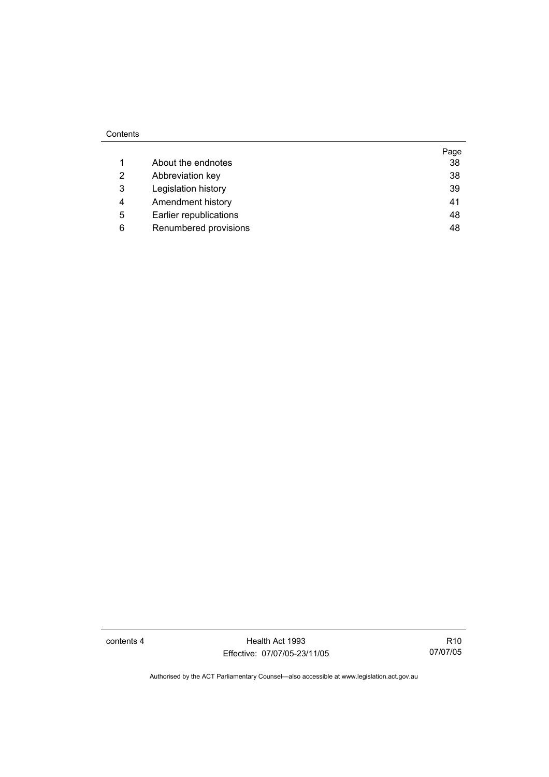### Contents

|   |                        | Page |
|---|------------------------|------|
|   | About the endnotes     | 38   |
| 2 | Abbreviation key       | 38   |
| 3 | Legislation history    | 39   |
| 4 | Amendment history      | 41   |
| 5 | Earlier republications | 48   |
| 6 | Renumbered provisions  | 48   |

contents 4 Health Act 1993 Effective: 07/07/05-23/11/05

R10 07/07/05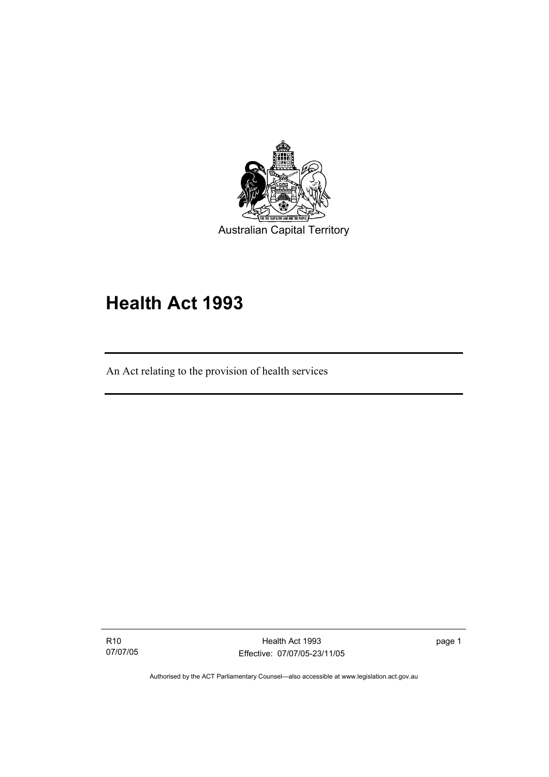

# **Health Act 1993**

An Act relating to the provision of health services

R10 07/07/05

I

Health Act 1993 Effective: 07/07/05-23/11/05 page 1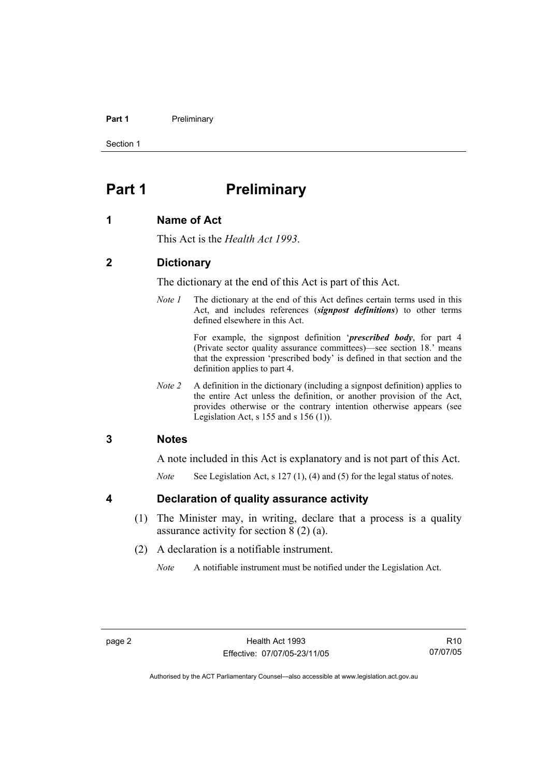### **Part 1** Preliminary

Section 1

## **Part 1** Preliminary

## **1 Name of Act**

This Act is the *Health Act 1993*.

## **2 Dictionary**

The dictionary at the end of this Act is part of this Act.

*Note 1* The dictionary at the end of this Act defines certain terms used in this Act, and includes references (*signpost definitions*) to other terms defined elsewhere in this Act.

> For example, the signpost definition '*prescribed body*, for part 4 (Private sector quality assurance committees)—see section 18.' means that the expression 'prescribed body' is defined in that section and the definition applies to part 4.

*Note 2* A definition in the dictionary (including a signpost definition) applies to the entire Act unless the definition, or another provision of the Act, provides otherwise or the contrary intention otherwise appears (see Legislation Act,  $s$  155 and  $s$  156 (1)).

## **3 Notes**

A note included in this Act is explanatory and is not part of this Act.

*Note* See Legislation Act, s 127 (1), (4) and (5) for the legal status of notes.

## **4 Declaration of quality assurance activity**

- (1) The Minister may, in writing, declare that a process is a quality assurance activity for section 8 (2) (a).
- (2) A declaration is a notifiable instrument.

*Note* A notifiable instrument must be notified under the Legislation Act.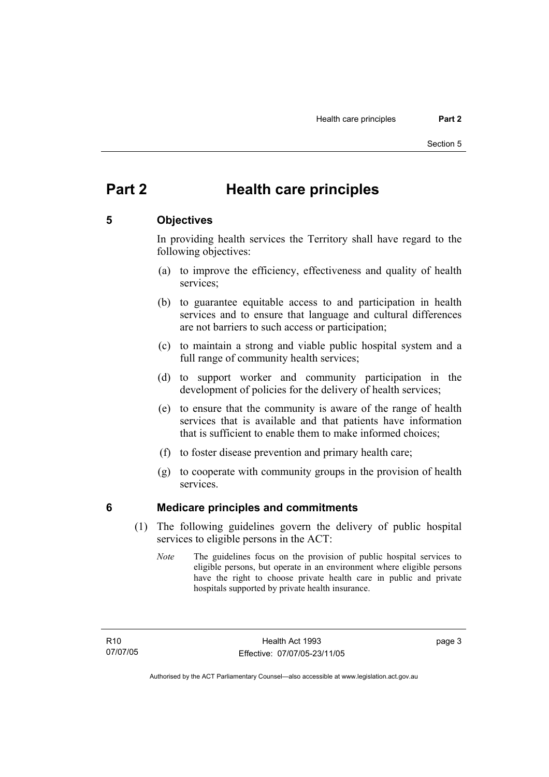## **Part 2 Health care principles**

## **5 Objectives**

In providing health services the Territory shall have regard to the following objectives:

- (a) to improve the efficiency, effectiveness and quality of health services;
- (b) to guarantee equitable access to and participation in health services and to ensure that language and cultural differences are not barriers to such access or participation;
- (c) to maintain a strong and viable public hospital system and a full range of community health services;
- (d) to support worker and community participation in the development of policies for the delivery of health services;
- (e) to ensure that the community is aware of the range of health services that is available and that patients have information that is sufficient to enable them to make informed choices;
- (f) to foster disease prevention and primary health care;
- (g) to cooperate with community groups in the provision of health services.

## **6 Medicare principles and commitments**

- (1) The following guidelines govern the delivery of public hospital services to eligible persons in the ACT:
	- *Note* The guidelines focus on the provision of public hospital services to eligible persons, but operate in an environment where eligible persons have the right to choose private health care in public and private hospitals supported by private health insurance.

page 3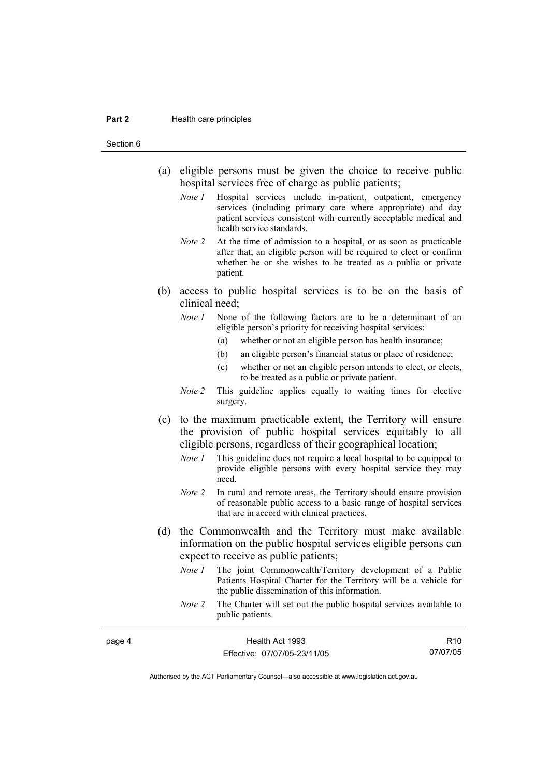#### **Part 2 Health care principles**

Section 6

- (a) eligible persons must be given the choice to receive public hospital services free of charge as public patients;
	- *Note 1* Hospital services include in-patient, outpatient, emergency services (including primary care where appropriate) and day patient services consistent with currently acceptable medical and health service standards.
	- *Note 2* At the time of admission to a hospital, or as soon as practicable after that, an eligible person will be required to elect or confirm whether he or she wishes to be treated as a public or private patient.
- (b) access to public hospital services is to be on the basis of clinical need;
	- *Note 1* None of the following factors are to be a determinant of an eligible person's priority for receiving hospital services:
		- (a) whether or not an eligible person has health insurance;
		- (b) an eligible person's financial status or place of residence;
		- (c) whether or not an eligible person intends to elect, or elects, to be treated as a public or private patient.
	- *Note 2* This guideline applies equally to waiting times for elective surgery.
- (c) to the maximum practicable extent, the Territory will ensure the provision of public hospital services equitably to all eligible persons, regardless of their geographical location;
	- *Note 1* This guideline does not require a local hospital to be equipped to provide eligible persons with every hospital service they may need.
	- *Note 2* In rural and remote areas, the Territory should ensure provision of reasonable public access to a basic range of hospital services that are in accord with clinical practices.
- (d) the Commonwealth and the Territory must make available information on the public hospital services eligible persons can expect to receive as public patients;
	- *Note 1* The joint Commonwealth/Territory development of a Public Patients Hospital Charter for the Territory will be a vehicle for the public dissemination of this information.
	- *Note 2* The Charter will set out the public hospital services available to public patients.

| page 4 | Health Act 1993              | R <sub>10</sub> |
|--------|------------------------------|-----------------|
|        | Effective: 07/07/05-23/11/05 | 07/07/05        |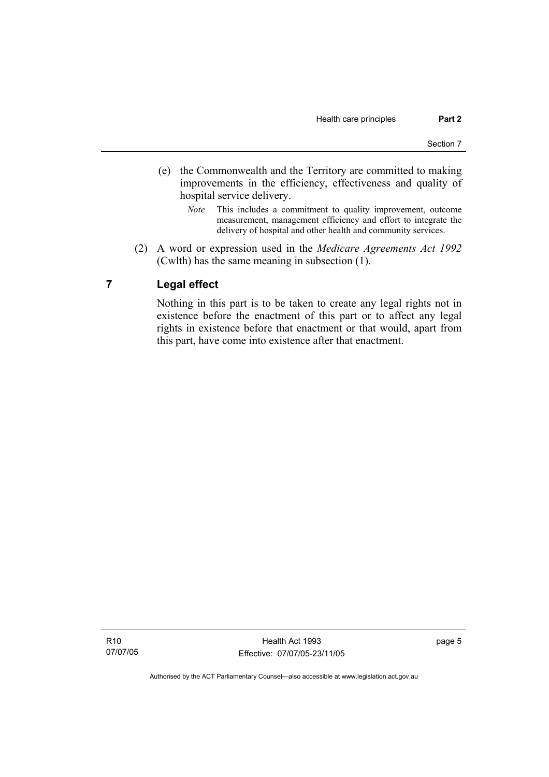- (e) the Commonwealth and the Territory are committed to making improvements in the efficiency, effectiveness and quality of hospital service delivery.
	- *Note* This includes a commitment to quality improvement, outcome measurement, management efficiency and effort to integrate the delivery of hospital and other health and community services.
- (2) A word or expression used in the *Medicare Agreements Act 1992* (Cwlth) has the same meaning in subsection (1).

## **7 Legal effect**

Nothing in this part is to be taken to create any legal rights not in existence before the enactment of this part or to affect any legal rights in existence before that enactment or that would, apart from this part, have come into existence after that enactment.

R10 07/07/05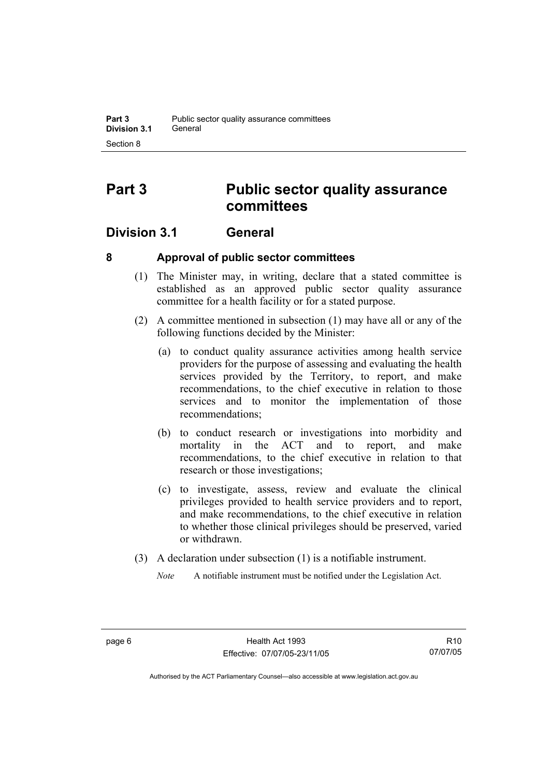## **Part 3 Public sector quality assurance committees**

## **Division 3.1 General**

## **8 Approval of public sector committees**

- (1) The Minister may, in writing, declare that a stated committee is established as an approved public sector quality assurance committee for a health facility or for a stated purpose.
- (2) A committee mentioned in subsection (1) may have all or any of the following functions decided by the Minister:
	- (a) to conduct quality assurance activities among health service providers for the purpose of assessing and evaluating the health services provided by the Territory, to report, and make recommendations, to the chief executive in relation to those services and to monitor the implementation of those recommendations;
	- (b) to conduct research or investigations into morbidity and mortality in the ACT and to report, and make recommendations, to the chief executive in relation to that research or those investigations;
	- (c) to investigate, assess, review and evaluate the clinical privileges provided to health service providers and to report, and make recommendations, to the chief executive in relation to whether those clinical privileges should be preserved, varied or withdrawn.
- (3) A declaration under subsection (1) is a notifiable instrument.
	- *Note* A notifiable instrument must be notified under the Legislation Act.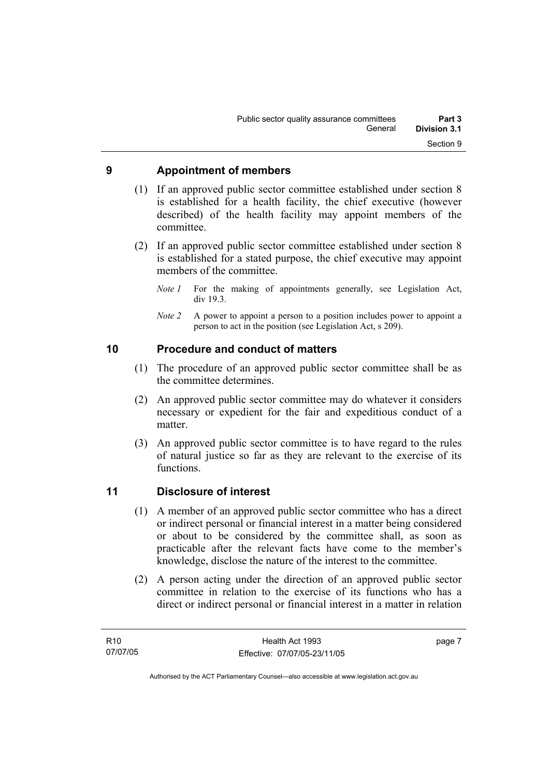## **9 Appointment of members**

- (1) If an approved public sector committee established under section 8 is established for a health facility, the chief executive (however described) of the health facility may appoint members of the committee.
- (2) If an approved public sector committee established under section 8 is established for a stated purpose, the chief executive may appoint members of the committee.
	- *Note 1* For the making of appointments generally, see Legislation Act, div 19.3.
	- *Note 2* A power to appoint a person to a position includes power to appoint a person to act in the position (see Legislation Act, s 209).

## **10 Procedure and conduct of matters**

- (1) The procedure of an approved public sector committee shall be as the committee determines.
- (2) An approved public sector committee may do whatever it considers necessary or expedient for the fair and expeditious conduct of a matter.
- (3) An approved public sector committee is to have regard to the rules of natural justice so far as they are relevant to the exercise of its functions.

## **11 Disclosure of interest**

- (1) A member of an approved public sector committee who has a direct or indirect personal or financial interest in a matter being considered or about to be considered by the committee shall, as soon as practicable after the relevant facts have come to the member's knowledge, disclose the nature of the interest to the committee.
- (2) A person acting under the direction of an approved public sector committee in relation to the exercise of its functions who has a direct or indirect personal or financial interest in a matter in relation

page 7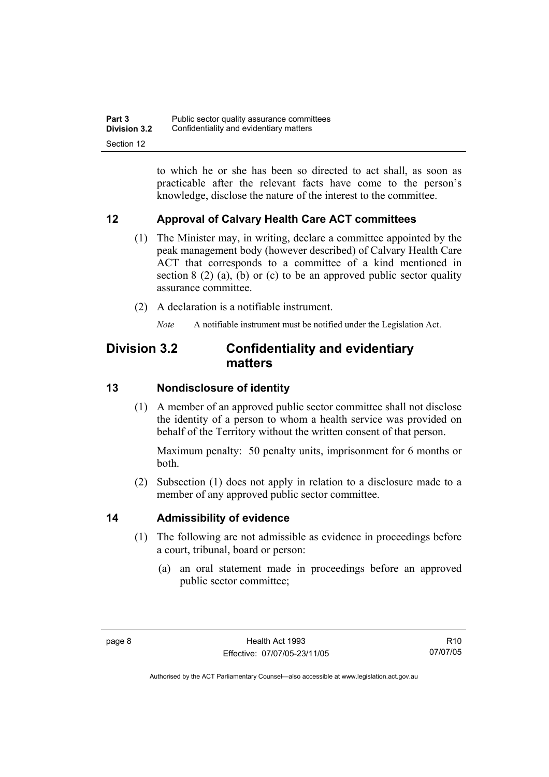to which he or she has been so directed to act shall, as soon as practicable after the relevant facts have come to the person's knowledge, disclose the nature of the interest to the committee.

## **12 Approval of Calvary Health Care ACT committees**

- (1) The Minister may, in writing, declare a committee appointed by the peak management body (however described) of Calvary Health Care ACT that corresponds to a committee of a kind mentioned in section 8 (2) (a), (b) or (c) to be an approved public sector quality assurance committee.
- (2) A declaration is a notifiable instrument.

*Note* A notifiable instrument must be notified under the Legislation Act.

## **Division 3.2 Confidentiality and evidentiary matters**

## **13 Nondisclosure of identity**

 (1) A member of an approved public sector committee shall not disclose the identity of a person to whom a health service was provided on behalf of the Territory without the written consent of that person.

Maximum penalty: 50 penalty units, imprisonment for 6 months or both.

 (2) Subsection (1) does not apply in relation to a disclosure made to a member of any approved public sector committee.

## **14 Admissibility of evidence**

- (1) The following are not admissible as evidence in proceedings before a court, tribunal, board or person:
	- (a) an oral statement made in proceedings before an approved public sector committee;

R10 07/07/05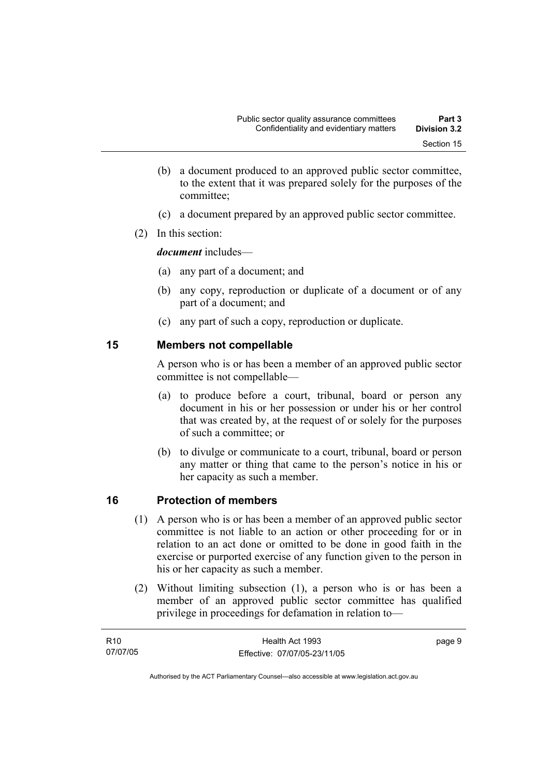- (b) a document produced to an approved public sector committee, to the extent that it was prepared solely for the purposes of the committee;
- (c) a document prepared by an approved public sector committee.
- (2) In this section:

*document* includes—

- (a) any part of a document; and
- (b) any copy, reproduction or duplicate of a document or of any part of a document; and
- (c) any part of such a copy, reproduction or duplicate.

## **15 Members not compellable**

A person who is or has been a member of an approved public sector committee is not compellable—

- (a) to produce before a court, tribunal, board or person any document in his or her possession or under his or her control that was created by, at the request of or solely for the purposes of such a committee; or
- (b) to divulge or communicate to a court, tribunal, board or person any matter or thing that came to the person's notice in his or her capacity as such a member.

## **16 Protection of members**

- (1) A person who is or has been a member of an approved public sector committee is not liable to an action or other proceeding for or in relation to an act done or omitted to be done in good faith in the exercise or purported exercise of any function given to the person in his or her capacity as such a member.
- (2) Without limiting subsection (1), a person who is or has been a member of an approved public sector committee has qualified privilege in proceedings for defamation in relation to—

| R10      | Health Act 1993              | page 9 |
|----------|------------------------------|--------|
| 07/07/05 | Effective: 07/07/05-23/11/05 |        |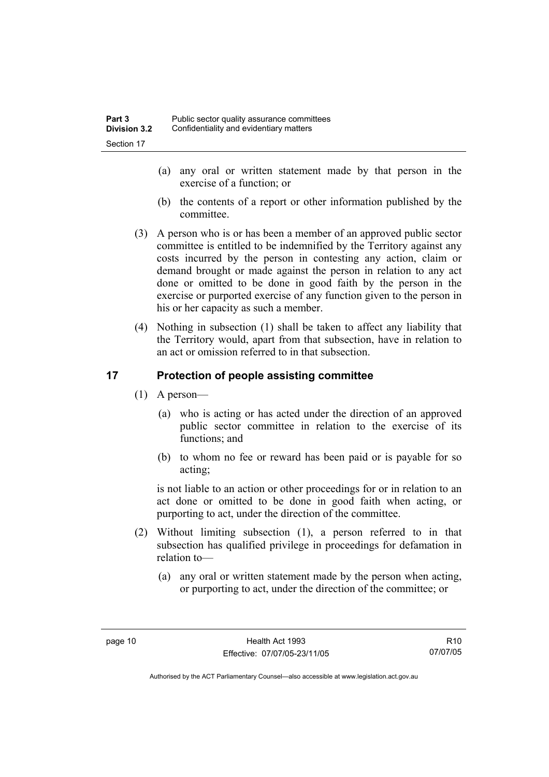- (a) any oral or written statement made by that person in the exercise of a function; or
- (b) the contents of a report or other information published by the committee.
- (3) A person who is or has been a member of an approved public sector committee is entitled to be indemnified by the Territory against any costs incurred by the person in contesting any action, claim or demand brought or made against the person in relation to any act done or omitted to be done in good faith by the person in the exercise or purported exercise of any function given to the person in his or her capacity as such a member.
- (4) Nothing in subsection (1) shall be taken to affect any liability that the Territory would, apart from that subsection, have in relation to an act or omission referred to in that subsection.

## **17 Protection of people assisting committee**

- (1) A person—
	- (a) who is acting or has acted under the direction of an approved public sector committee in relation to the exercise of its functions; and
	- (b) to whom no fee or reward has been paid or is payable for so acting;

is not liable to an action or other proceedings for or in relation to an act done or omitted to be done in good faith when acting, or purporting to act, under the direction of the committee.

- (2) Without limiting subsection (1), a person referred to in that subsection has qualified privilege in proceedings for defamation in relation to—
	- (a) any oral or written statement made by the person when acting, or purporting to act, under the direction of the committee; or

R10 07/07/05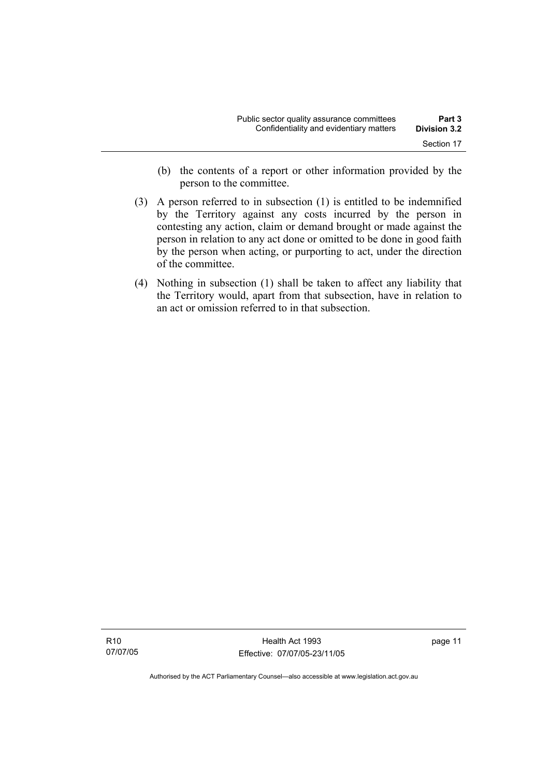- (b) the contents of a report or other information provided by the person to the committee.
- (3) A person referred to in subsection (1) is entitled to be indemnified by the Territory against any costs incurred by the person in contesting any action, claim or demand brought or made against the person in relation to any act done or omitted to be done in good faith by the person when acting, or purporting to act, under the direction of the committee.
- (4) Nothing in subsection (1) shall be taken to affect any liability that the Territory would, apart from that subsection, have in relation to an act or omission referred to in that subsection.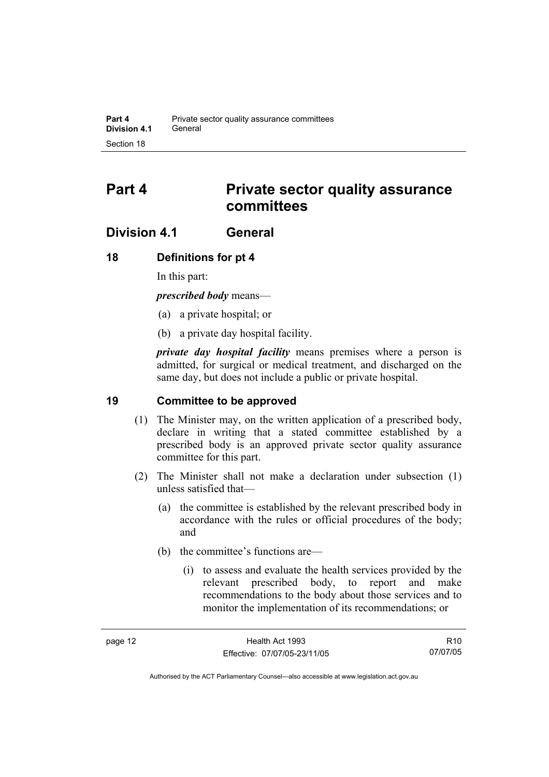## **Part 4 Private sector quality assurance committees**

## **Division 4.1 General**

## **18 Definitions for pt 4**

In this part:

*prescribed body* means—

- (a) a private hospital; or
- (b) a private day hospital facility.

*private day hospital facility* means premises where a person is admitted, for surgical or medical treatment, and discharged on the same day, but does not include a public or private hospital.

## **19 Committee to be approved**

- (1) The Minister may, on the written application of a prescribed body, declare in writing that a stated committee established by a prescribed body is an approved private sector quality assurance committee for this part.
- (2) The Minister shall not make a declaration under subsection (1) unless satisfied that—
	- (a) the committee is established by the relevant prescribed body in accordance with the rules or official procedures of the body; and
	- (b) the committee's functions are—
		- (i) to assess and evaluate the health services provided by the relevant prescribed body, to report and make recommendations to the body about those services and to monitor the implementation of its recommendations; or

R10 07/07/05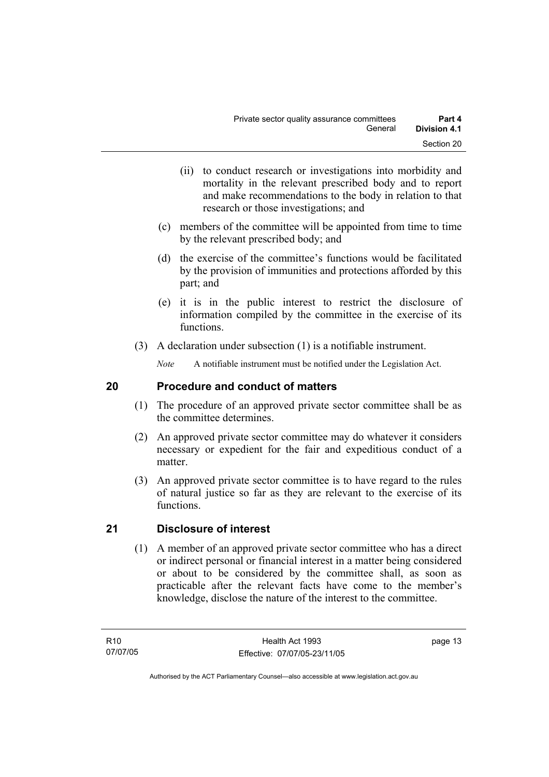- (ii) to conduct research or investigations into morbidity and mortality in the relevant prescribed body and to report and make recommendations to the body in relation to that research or those investigations; and
- (c) members of the committee will be appointed from time to time by the relevant prescribed body; and
- (d) the exercise of the committee's functions would be facilitated by the provision of immunities and protections afforded by this part; and
- (e) it is in the public interest to restrict the disclosure of information compiled by the committee in the exercise of its functions.
- (3) A declaration under subsection (1) is a notifiable instrument.

*Note* A notifiable instrument must be notified under the Legislation Act.

## **20 Procedure and conduct of matters**

- (1) The procedure of an approved private sector committee shall be as the committee determines.
- (2) An approved private sector committee may do whatever it considers necessary or expedient for the fair and expeditious conduct of a matter.
- (3) An approved private sector committee is to have regard to the rules of natural justice so far as they are relevant to the exercise of its functions.

## **21 Disclosure of interest**

 (1) A member of an approved private sector committee who has a direct or indirect personal or financial interest in a matter being considered or about to be considered by the committee shall, as soon as practicable after the relevant facts have come to the member's knowledge, disclose the nature of the interest to the committee.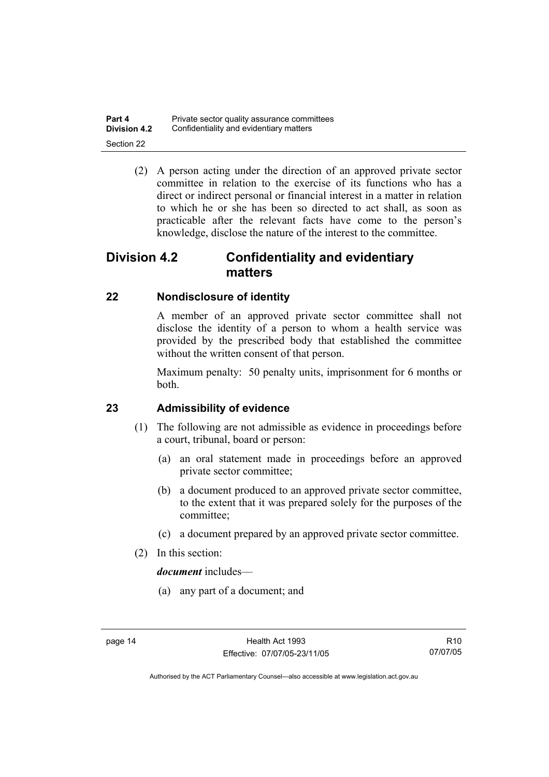| Part 4              | Private sector quality assurance committees |
|---------------------|---------------------------------------------|
| <b>Division 4.2</b> | Confidentiality and evidentiary matters     |
| Section 22          |                                             |

 (2) A person acting under the direction of an approved private sector committee in relation to the exercise of its functions who has a direct or indirect personal or financial interest in a matter in relation to which he or she has been so directed to act shall, as soon as practicable after the relevant facts have come to the person's knowledge, disclose the nature of the interest to the committee.

## **Division 4.2 Confidentiality and evidentiary matters**

## **22 Nondisclosure of identity**

A member of an approved private sector committee shall not disclose the identity of a person to whom a health service was provided by the prescribed body that established the committee without the written consent of that person.

Maximum penalty: 50 penalty units, imprisonment for 6 months or both.

## **23 Admissibility of evidence**

- (1) The following are not admissible as evidence in proceedings before a court, tribunal, board or person:
	- (a) an oral statement made in proceedings before an approved private sector committee;
	- (b) a document produced to an approved private sector committee, to the extent that it was prepared solely for the purposes of the committee;
	- (c) a document prepared by an approved private sector committee.
- (2) In this section:

*document* includes—

(a) any part of a document; and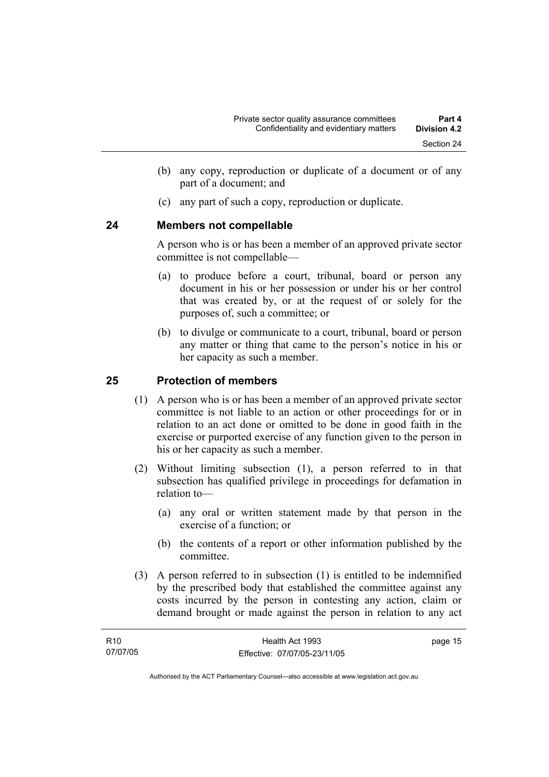- (b) any copy, reproduction or duplicate of a document or of any part of a document; and
- (c) any part of such a copy, reproduction or duplicate.

## **24 Members not compellable**

A person who is or has been a member of an approved private sector committee is not compellable—

- (a) to produce before a court, tribunal, board or person any document in his or her possession or under his or her control that was created by, or at the request of or solely for the purposes of, such a committee; or
- (b) to divulge or communicate to a court, tribunal, board or person any matter or thing that came to the person's notice in his or her capacity as such a member.

## **25 Protection of members**

- (1) A person who is or has been a member of an approved private sector committee is not liable to an action or other proceedings for or in relation to an act done or omitted to be done in good faith in the exercise or purported exercise of any function given to the person in his or her capacity as such a member.
- (2) Without limiting subsection (1), a person referred to in that subsection has qualified privilege in proceedings for defamation in relation to—
	- (a) any oral or written statement made by that person in the exercise of a function; or
	- (b) the contents of a report or other information published by the committee.
- (3) A person referred to in subsection (1) is entitled to be indemnified by the prescribed body that established the committee against any costs incurred by the person in contesting any action, claim or demand brought or made against the person in relation to any act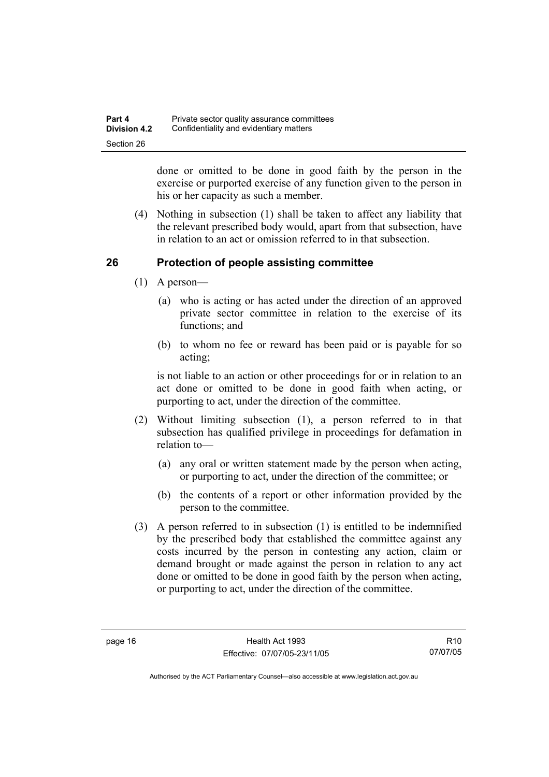| Part 4              | Private sector quality assurance committees |
|---------------------|---------------------------------------------|
| <b>Division 4.2</b> | Confidentiality and evidentiary matters     |
| Section 26          |                                             |

done or omitted to be done in good faith by the person in the exercise or purported exercise of any function given to the person in his or her capacity as such a member.

 (4) Nothing in subsection (1) shall be taken to affect any liability that the relevant prescribed body would, apart from that subsection, have in relation to an act or omission referred to in that subsection.

## **26 Protection of people assisting committee**

- (1) A person—
	- (a) who is acting or has acted under the direction of an approved private sector committee in relation to the exercise of its functions; and
	- (b) to whom no fee or reward has been paid or is payable for so acting;

is not liable to an action or other proceedings for or in relation to an act done or omitted to be done in good faith when acting, or purporting to act, under the direction of the committee.

- (2) Without limiting subsection (1), a person referred to in that subsection has qualified privilege in proceedings for defamation in relation to—
	- (a) any oral or written statement made by the person when acting, or purporting to act, under the direction of the committee; or
	- (b) the contents of a report or other information provided by the person to the committee.
- (3) A person referred to in subsection (1) is entitled to be indemnified by the prescribed body that established the committee against any costs incurred by the person in contesting any action, claim or demand brought or made against the person in relation to any act done or omitted to be done in good faith by the person when acting, or purporting to act, under the direction of the committee.

R10 07/07/05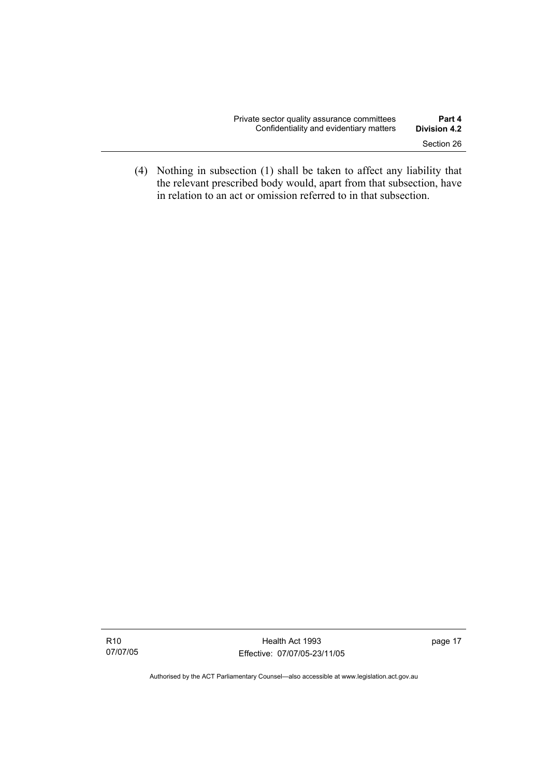| Private sector quality assurance committees | Part 4              |
|---------------------------------------------|---------------------|
| Confidentiality and evidentiary matters     | <b>Division 4.2</b> |
|                                             | Section 26          |

 (4) Nothing in subsection (1) shall be taken to affect any liability that the relevant prescribed body would, apart from that subsection, have in relation to an act or omission referred to in that subsection.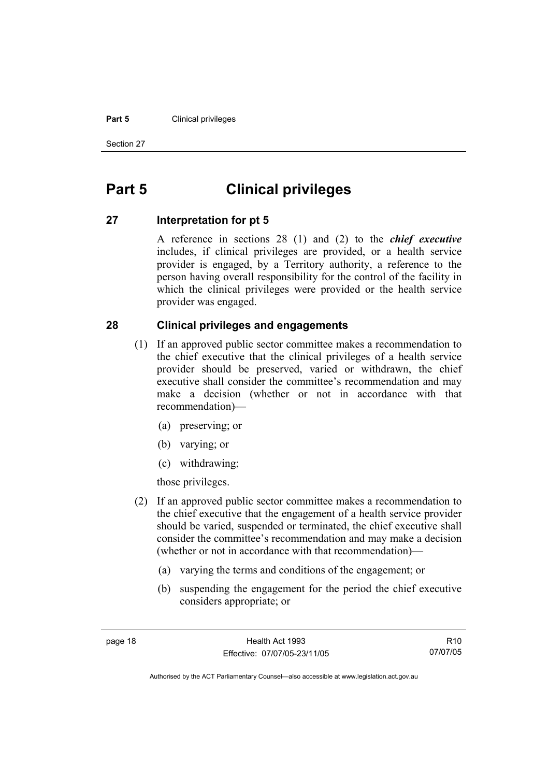### **Part 5 Clinical privileges**

Section 27

## **Part 5 Clinical privileges**

## **27 Interpretation for pt 5**

A reference in sections 28 (1) and (2) to the *chief executive* includes, if clinical privileges are provided, or a health service provider is engaged, by a Territory authority, a reference to the person having overall responsibility for the control of the facility in which the clinical privileges were provided or the health service provider was engaged.

## **28 Clinical privileges and engagements**

- (1) If an approved public sector committee makes a recommendation to the chief executive that the clinical privileges of a health service provider should be preserved, varied or withdrawn, the chief executive shall consider the committee's recommendation and may make a decision (whether or not in accordance with that recommendation)—
	- (a) preserving; or
	- (b) varying; or
	- (c) withdrawing;

those privileges.

- (2) If an approved public sector committee makes a recommendation to the chief executive that the engagement of a health service provider should be varied, suspended or terminated, the chief executive shall consider the committee's recommendation and may make a decision (whether or not in accordance with that recommendation)—
	- (a) varying the terms and conditions of the engagement; or
	- (b) suspending the engagement for the period the chief executive considers appropriate; or

R10 07/07/05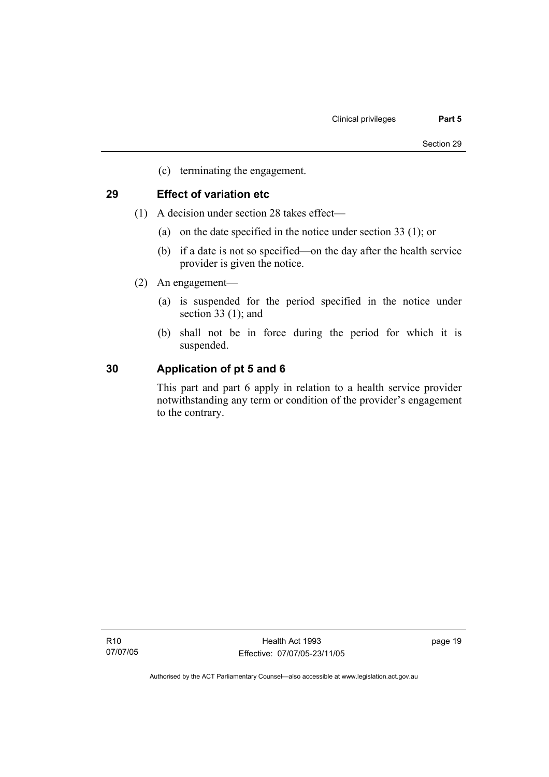(c) terminating the engagement.

## **29 Effect of variation etc**

- (1) A decision under section 28 takes effect—
	- (a) on the date specified in the notice under section 33 (1); or
	- (b) if a date is not so specified—on the day after the health service provider is given the notice.
- (2) An engagement—
	- (a) is suspended for the period specified in the notice under section 33 (1); and
	- (b) shall not be in force during the period for which it is suspended.

## **30 Application of pt 5 and 6**

This part and part 6 apply in relation to a health service provider notwithstanding any term or condition of the provider's engagement to the contrary.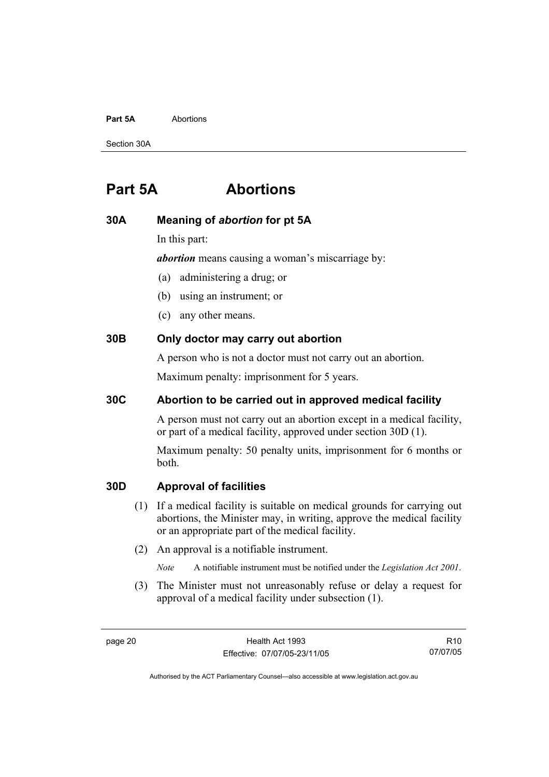#### **Part 5A** Abortions

Section 30A

## **Part 5A Abortions**

### **30A Meaning of** *abortion* **for pt 5A**

In this part:

*abortion* means causing a woman's miscarriage by:

- (a) administering a drug; or
- (b) using an instrument; or
- (c) any other means.

## **30B Only doctor may carry out abortion**

A person who is not a doctor must not carry out an abortion.

Maximum penalty: imprisonment for 5 years.

## **30C Abortion to be carried out in approved medical facility**

A person must not carry out an abortion except in a medical facility, or part of a medical facility, approved under section 30D (1).

Maximum penalty: 50 penalty units, imprisonment for 6 months or both.

### **30D Approval of facilities**

- (1) If a medical facility is suitable on medical grounds for carrying out abortions, the Minister may, in writing, approve the medical facility or an appropriate part of the medical facility.
- (2) An approval is a notifiable instrument.

*Note* A notifiable instrument must be notified under the *Legislation Act 2001*.

 (3) The Minister must not unreasonably refuse or delay a request for approval of a medical facility under subsection (1).

R10 07/07/05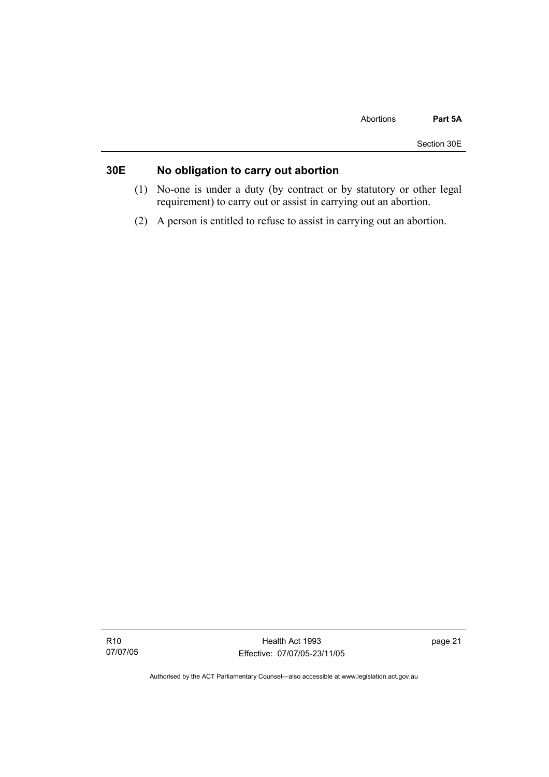## **30E No obligation to carry out abortion**

- (1) No-one is under a duty (by contract or by statutory or other legal requirement) to carry out or assist in carrying out an abortion.
- (2) A person is entitled to refuse to assist in carrying out an abortion.

R10 07/07/05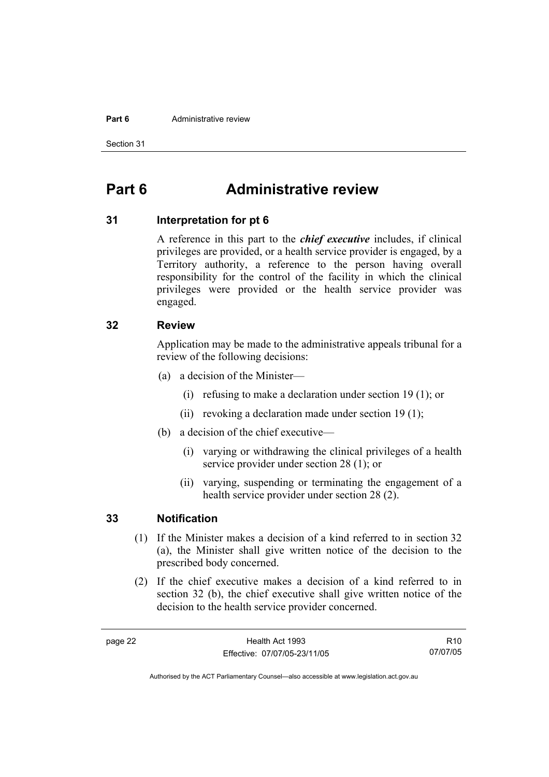#### **Part 6 Administrative review**

Section 31

## **Part 6 Administrative review**

### **31 Interpretation for pt 6**

A reference in this part to the *chief executive* includes, if clinical privileges are provided, or a health service provider is engaged, by a Territory authority, a reference to the person having overall responsibility for the control of the facility in which the clinical privileges were provided or the health service provider was engaged.

### **32 Review**

Application may be made to the administrative appeals tribunal for a review of the following decisions:

- (a) a decision of the Minister—
	- (i) refusing to make a declaration under section 19 (1); or
	- (ii) revoking a declaration made under section 19 (1);
- (b) a decision of the chief executive—
	- (i) varying or withdrawing the clinical privileges of a health service provider under section 28 (1); or
	- (ii) varying, suspending or terminating the engagement of a health service provider under section 28 (2).

## **33 Notification**

- (1) If the Minister makes a decision of a kind referred to in section 32 (a), the Minister shall give written notice of the decision to the prescribed body concerned.
- (2) If the chief executive makes a decision of a kind referred to in section 32 (b), the chief executive shall give written notice of the decision to the health service provider concerned.

R10 07/07/05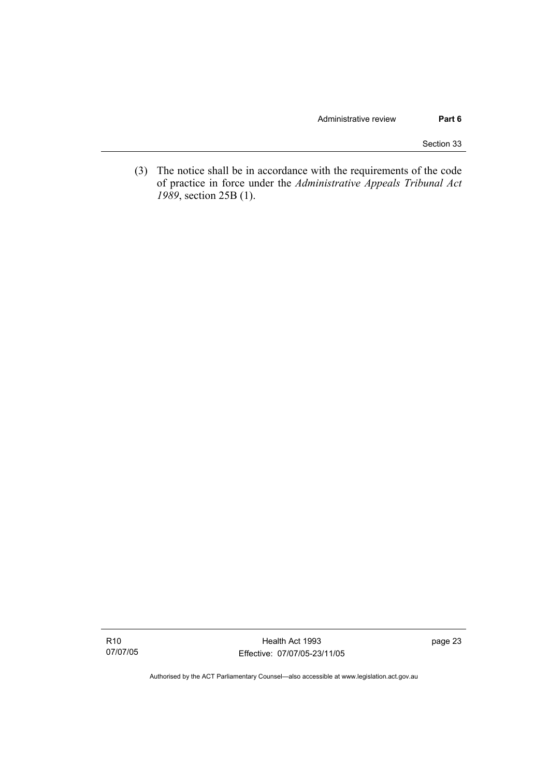Section 33

 (3) The notice shall be in accordance with the requirements of the code of practice in force under the *Administrative Appeals Tribunal Act 1989*, section 25B (1).

Health Act 1993 Effective: 07/07/05-23/11/05 page 23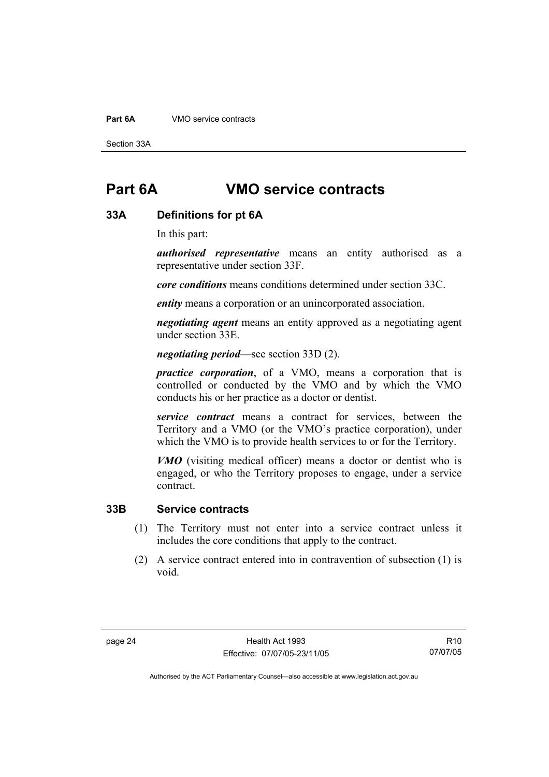### **Part 6A** VMO service contracts

Section 33A

## **Part 6A VMO service contracts**

### **33A Definitions for pt 6A**

In this part:

*authorised representative* means an entity authorised as a representative under section 33F.

*core conditions* means conditions determined under section 33C.

*entity* means a corporation or an unincorporated association.

*negotiating agent* means an entity approved as a negotiating agent under section 33E.

*negotiating period*—see section 33D (2).

*practice corporation*, of a VMO, means a corporation that is controlled or conducted by the VMO and by which the VMO conducts his or her practice as a doctor or dentist.

*service contract* means a contract for services, between the Territory and a VMO (or the VMO's practice corporation), under which the VMO is to provide health services to or for the Territory.

*VMO* (visiting medical officer) means a doctor or dentist who is engaged, or who the Territory proposes to engage, under a service contract.

## **33B Service contracts**

- (1) The Territory must not enter into a service contract unless it includes the core conditions that apply to the contract.
- (2) A service contract entered into in contravention of subsection (1) is void.

R10 07/07/05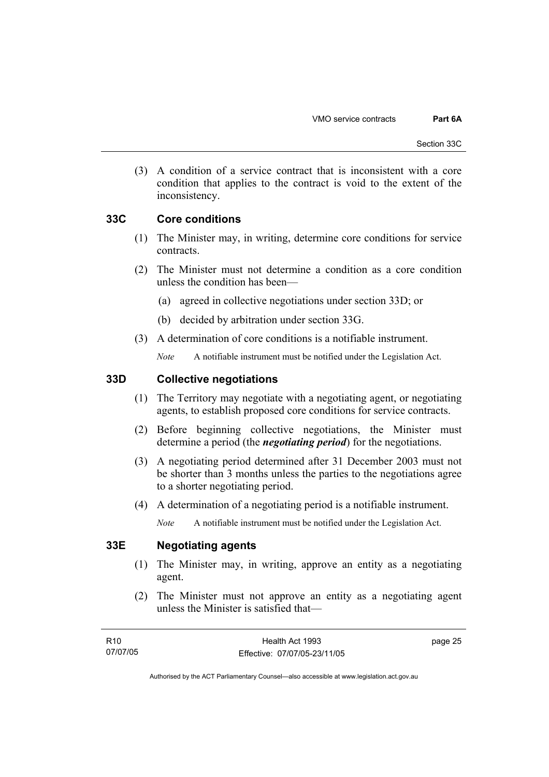(3) A condition of a service contract that is inconsistent with a core condition that applies to the contract is void to the extent of the inconsistency.

## **33C Core conditions**

- (1) The Minister may, in writing, determine core conditions for service contracts.
- (2) The Minister must not determine a condition as a core condition unless the condition has been—
	- (a) agreed in collective negotiations under section 33D; or
	- (b) decided by arbitration under section 33G.
- (3) A determination of core conditions is a notifiable instrument.

*Note* A notifiable instrument must be notified under the Legislation Act.

## **33D Collective negotiations**

- (1) The Territory may negotiate with a negotiating agent, or negotiating agents, to establish proposed core conditions for service contracts.
- (2) Before beginning collective negotiations, the Minister must determine a period (the *negotiating period*) for the negotiations.
- (3) A negotiating period determined after 31 December 2003 must not be shorter than 3 months unless the parties to the negotiations agree to a shorter negotiating period.
- (4) A determination of a negotiating period is a notifiable instrument.

*Note* A notifiable instrument must be notified under the Legislation Act.

## **33E Negotiating agents**

- (1) The Minister may, in writing, approve an entity as a negotiating agent.
- (2) The Minister must not approve an entity as a negotiating agent unless the Minister is satisfied that—

page 25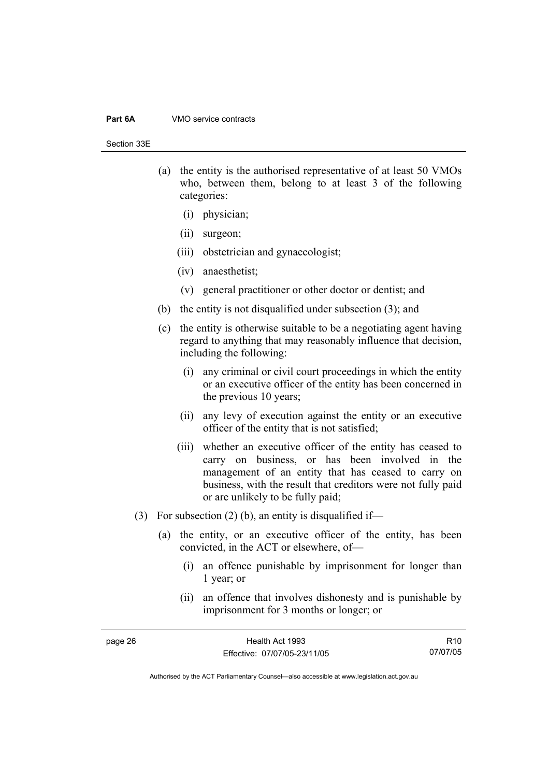#### **Part 6A** VMO service contracts

Section 33E

- (a) the entity is the authorised representative of at least 50 VMOs who, between them, belong to at least 3 of the following categories:
	- (i) physician;
	- (ii) surgeon;
	- (iii) obstetrician and gynaecologist;
	- (iv) anaesthetist;
	- (v) general practitioner or other doctor or dentist; and
- (b) the entity is not disqualified under subsection (3); and
- (c) the entity is otherwise suitable to be a negotiating agent having regard to anything that may reasonably influence that decision, including the following:
	- (i) any criminal or civil court proceedings in which the entity or an executive officer of the entity has been concerned in the previous 10 years;
	- (ii) any levy of execution against the entity or an executive officer of the entity that is not satisfied;
	- (iii) whether an executive officer of the entity has ceased to carry on business, or has been involved in the management of an entity that has ceased to carry on business, with the result that creditors were not fully paid or are unlikely to be fully paid;
- (3) For subsection (2) (b), an entity is disqualified if-
	- (a) the entity, or an executive officer of the entity, has been convicted, in the ACT or elsewhere, of—
		- (i) an offence punishable by imprisonment for longer than 1 year; or
		- (ii) an offence that involves dishonesty and is punishable by imprisonment for 3 months or longer; or

| page 26 | Health Act 1993              | R <sub>10</sub> |
|---------|------------------------------|-----------------|
|         | Effective: 07/07/05-23/11/05 | 07/07/05        |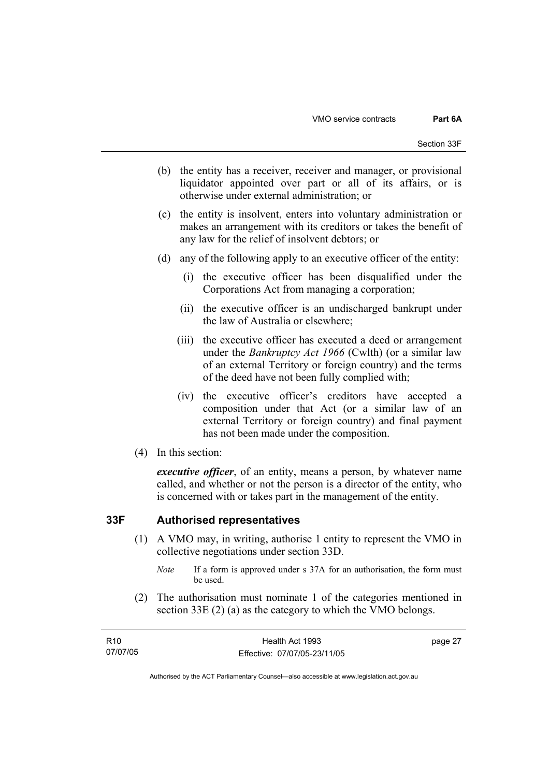- (b) the entity has a receiver, receiver and manager, or provisional liquidator appointed over part or all of its affairs, or is otherwise under external administration; or
- (c) the entity is insolvent, enters into voluntary administration or makes an arrangement with its creditors or takes the benefit of any law for the relief of insolvent debtors; or
- (d) any of the following apply to an executive officer of the entity:
	- (i) the executive officer has been disqualified under the Corporations Act from managing a corporation;
	- (ii) the executive officer is an undischarged bankrupt under the law of Australia or elsewhere;
	- (iii) the executive officer has executed a deed or arrangement under the *Bankruptcy Act 1966* (Cwlth) (or a similar law of an external Territory or foreign country) and the terms of the deed have not been fully complied with;
	- (iv) the executive officer's creditors have accepted a composition under that Act (or a similar law of an external Territory or foreign country) and final payment has not been made under the composition.
- (4) In this section:

*executive officer*, of an entity, means a person, by whatever name called, and whether or not the person is a director of the entity, who is concerned with or takes part in the management of the entity.

### **33F Authorised representatives**

- (1) A VMO may, in writing, authorise 1 entity to represent the VMO in collective negotiations under section 33D.
	- *Note* If a form is approved under s 37A for an authorisation, the form must be used.
- (2) The authorisation must nominate 1 of the categories mentioned in section 33E (2) (a) as the category to which the VMO belongs.

| R10      | Health Act 1993              | page 27 |
|----------|------------------------------|---------|
| 07/07/05 | Effective: 07/07/05-23/11/05 |         |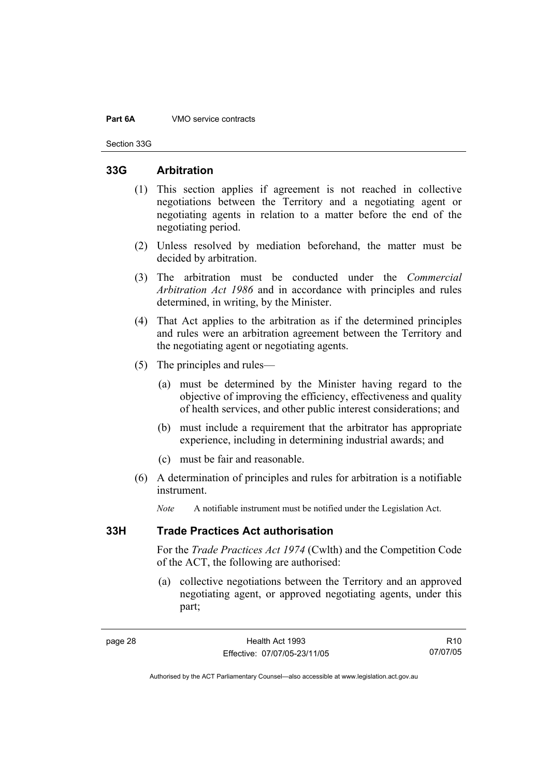#### **Part 6A** VMO service contracts

Section 33G

## **33G Arbitration**

- (1) This section applies if agreement is not reached in collective negotiations between the Territory and a negotiating agent or negotiating agents in relation to a matter before the end of the negotiating period.
- (2) Unless resolved by mediation beforehand, the matter must be decided by arbitration.
- (3) The arbitration must be conducted under the *Commercial Arbitration Act 1986* and in accordance with principles and rules determined, in writing, by the Minister.
- (4) That Act applies to the arbitration as if the determined principles and rules were an arbitration agreement between the Territory and the negotiating agent or negotiating agents.
- (5) The principles and rules—
	- (a) must be determined by the Minister having regard to the objective of improving the efficiency, effectiveness and quality of health services, and other public interest considerations; and
	- (b) must include a requirement that the arbitrator has appropriate experience, including in determining industrial awards; and
	- (c) must be fair and reasonable.
- (6) A determination of principles and rules for arbitration is a notifiable instrument.

*Note* A notifiable instrument must be notified under the Legislation Act.

### **33H Trade Practices Act authorisation**

For the *Trade Practices Act 1974* (Cwlth) and the Competition Code of the ACT, the following are authorised:

 (a) collective negotiations between the Territory and an approved negotiating agent, or approved negotiating agents, under this part;

R10 07/07/05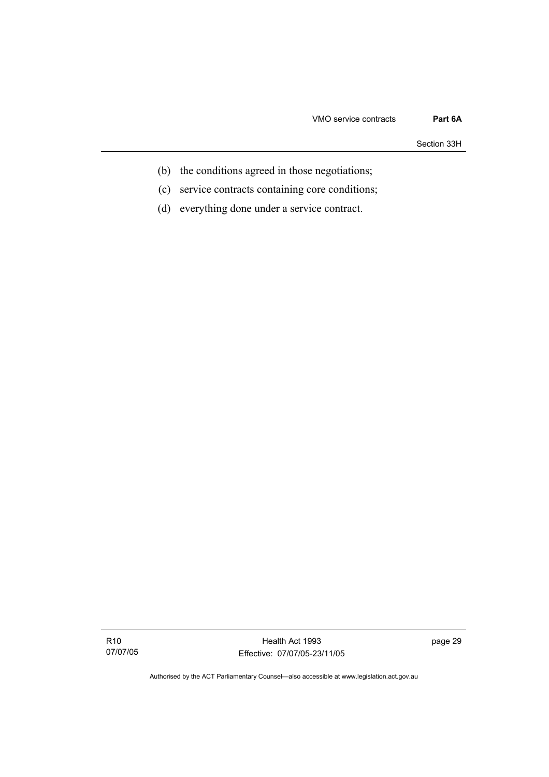Section 33H

- (b) the conditions agreed in those negotiations;
- (c) service contracts containing core conditions;
- (d) everything done under a service contract.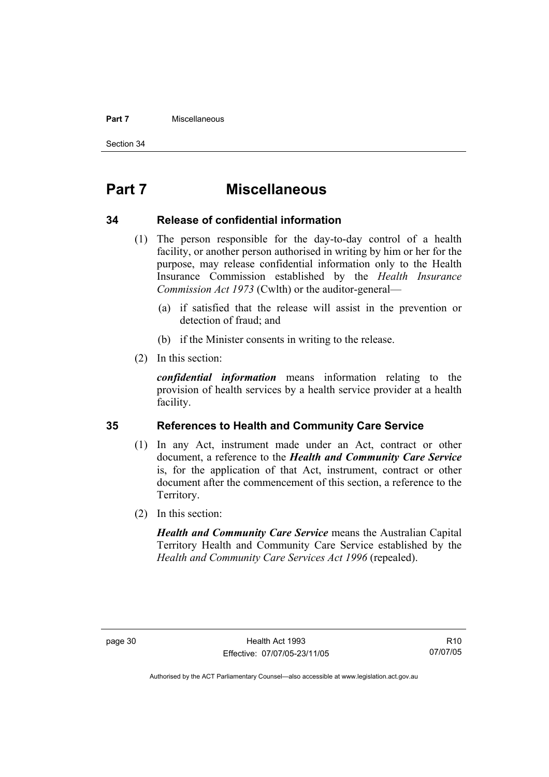#### **Part 7** Miscellaneous

Section 34

## **Part 7 Miscellaneous**

### **34 Release of confidential information**

- (1) The person responsible for the day-to-day control of a health facility, or another person authorised in writing by him or her for the purpose, may release confidential information only to the Health Insurance Commission established by the *Health Insurance Commission Act 1973* (Cwlth) or the auditor-general—
	- (a) if satisfied that the release will assist in the prevention or detection of fraud; and
	- (b) if the Minister consents in writing to the release.
- (2) In this section:

*confidential information* means information relating to the provision of health services by a health service provider at a health facility.

### **35 References to Health and Community Care Service**

- (1) In any Act, instrument made under an Act, contract or other document, a reference to the *Health and Community Care Service* is, for the application of that Act, instrument, contract or other document after the commencement of this section, a reference to the Territory.
- (2) In this section:

*Health and Community Care Service* means the Australian Capital Territory Health and Community Care Service established by the *Health and Community Care Services Act 1996* (repealed).

R10 07/07/05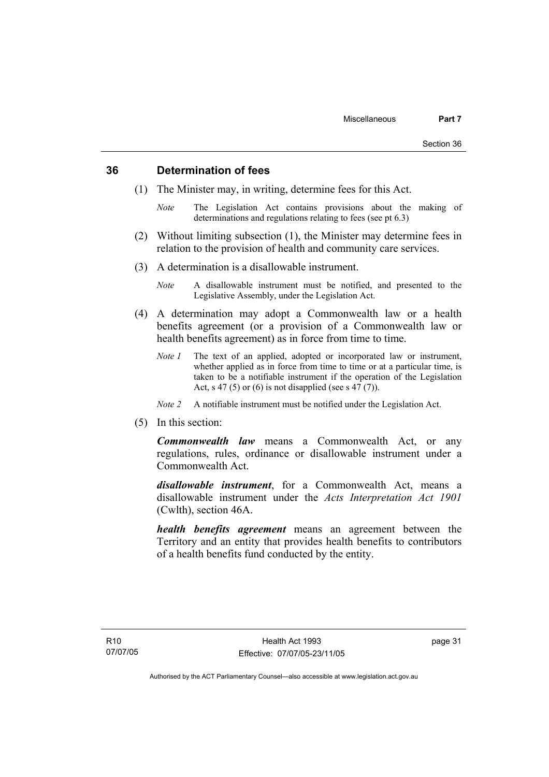## **36 Determination of fees**

- (1) The Minister may, in writing, determine fees for this Act.
	- *Note* The Legislation Act contains provisions about the making of determinations and regulations relating to fees (see pt 6.3)
- (2) Without limiting subsection (1), the Minister may determine fees in relation to the provision of health and community care services.
- (3) A determination is a disallowable instrument.
	- *Note* A disallowable instrument must be notified, and presented to the Legislative Assembly, under the Legislation Act.
- (4) A determination may adopt a Commonwealth law or a health benefits agreement (or a provision of a Commonwealth law or health benefits agreement) as in force from time to time.
	- *Note 1* The text of an applied, adopted or incorporated law or instrument, whether applied as in force from time to time or at a particular time, is taken to be a notifiable instrument if the operation of the Legislation Act, s 47 (5) or (6) is not disapplied (see s  $47(7)$ ).
	- *Note 2* A notifiable instrument must be notified under the Legislation Act.
- (5) In this section:

*Commonwealth law* means a Commonwealth Act, or any regulations, rules, ordinance or disallowable instrument under a Commonwealth Act.

*disallowable instrument*, for a Commonwealth Act, means a disallowable instrument under the *Acts Interpretation Act 1901* (Cwlth), section 46A.

*health benefits agreement* means an agreement between the Territory and an entity that provides health benefits to contributors of a health benefits fund conducted by the entity.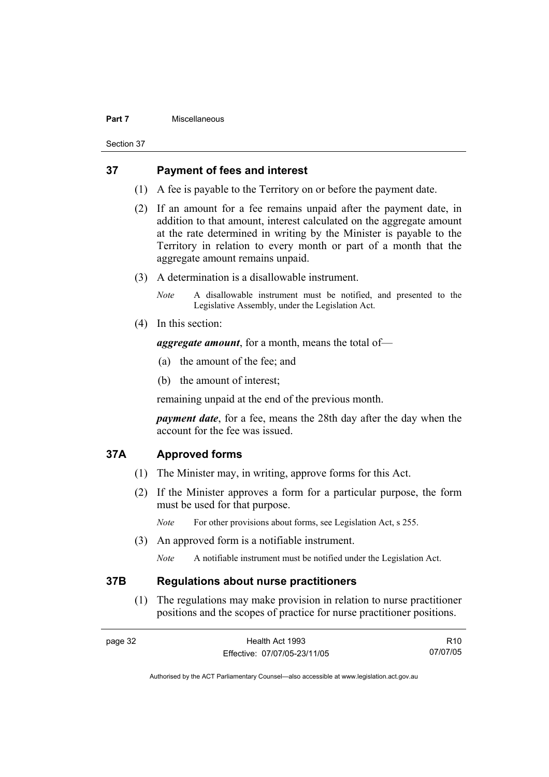### **Part 7** Miscellaneous

Section 37

## **37 Payment of fees and interest**

- (1) A fee is payable to the Territory on or before the payment date.
- (2) If an amount for a fee remains unpaid after the payment date, in addition to that amount, interest calculated on the aggregate amount at the rate determined in writing by the Minister is payable to the Territory in relation to every month or part of a month that the aggregate amount remains unpaid.
- (3) A determination is a disallowable instrument.

*Note* A disallowable instrument must be notified, and presented to the Legislative Assembly, under the Legislation Act.

(4) In this section:

*aggregate amount*, for a month, means the total of—

- (a) the amount of the fee; and
- (b) the amount of interest;

remaining unpaid at the end of the previous month.

*payment date*, for a fee, means the 28th day after the day when the account for the fee was issued.

## **37A Approved forms**

- (1) The Minister may, in writing, approve forms for this Act.
- (2) If the Minister approves a form for a particular purpose, the form must be used for that purpose.

*Note* For other provisions about forms, see Legislation Act, s 255.

(3) An approved form is a notifiable instrument.

*Note* A notifiable instrument must be notified under the Legislation Act.

### **37B Regulations about nurse practitioners**

 (1) The regulations may make provision in relation to nurse practitioner positions and the scopes of practice for nurse practitioner positions.

| page 32 | Health Act 1993              | R <sub>10</sub> |
|---------|------------------------------|-----------------|
|         | Effective: 07/07/05-23/11/05 | 07/07/05        |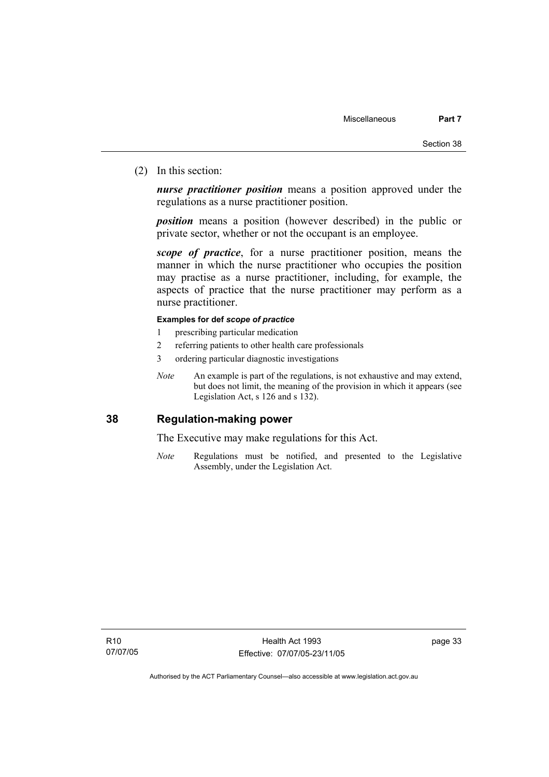(2) In this section:

*nurse practitioner position* means a position approved under the regulations as a nurse practitioner position.

*position* means a position (however described) in the public or private sector, whether or not the occupant is an employee.

*scope of practice*, for a nurse practitioner position, means the manner in which the nurse practitioner who occupies the position may practise as a nurse practitioner, including, for example, the aspects of practice that the nurse practitioner may perform as a nurse practitioner.

### **Examples for def** *scope of practice*

- 1 prescribing particular medication
- 2 referring patients to other health care professionals
- 3 ordering particular diagnostic investigations
- *Note* An example is part of the regulations, is not exhaustive and may extend, but does not limit, the meaning of the provision in which it appears (see Legislation Act, s 126 and s 132).

## **38 Regulation-making power**

The Executive may make regulations for this Act.

*Note* Regulations must be notified, and presented to the Legislative Assembly, under the Legislation Act.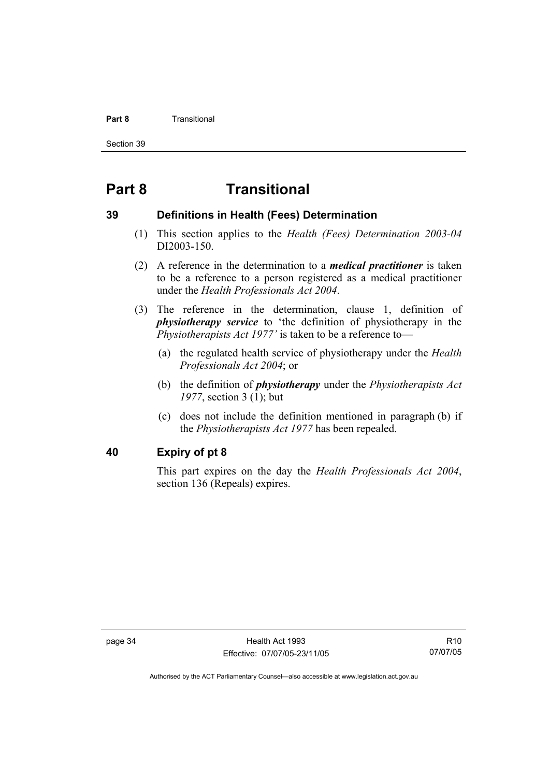### **Part 8 Transitional**

Section 39

## **Part 8 Transitional**

## **39 Definitions in Health (Fees) Determination**

- (1) This section applies to the *Health (Fees) Determination 2003-04*  DI2003-150.
- (2) A reference in the determination to a *medical practitioner* is taken to be a reference to a person registered as a medical practitioner under the *Health Professionals Act 2004*.
- (3) The reference in the determination, clause 1, definition of *physiotherapy service* to 'the definition of physiotherapy in the *Physiotherapists Act 1977'* is taken to be a reference to—
	- (a) the regulated health service of physiotherapy under the *Health Professionals Act 2004*; or
	- (b) the definition of *physiotherapy* under the *Physiotherapists Act 1977*, section 3 (1); but
	- (c) does not include the definition mentioned in paragraph (b) if the *Physiotherapists Act 1977* has been repealed.

## **40 Expiry of pt 8**

This part expires on the day the *Health Professionals Act 2004*, section 136 (Repeals) expires.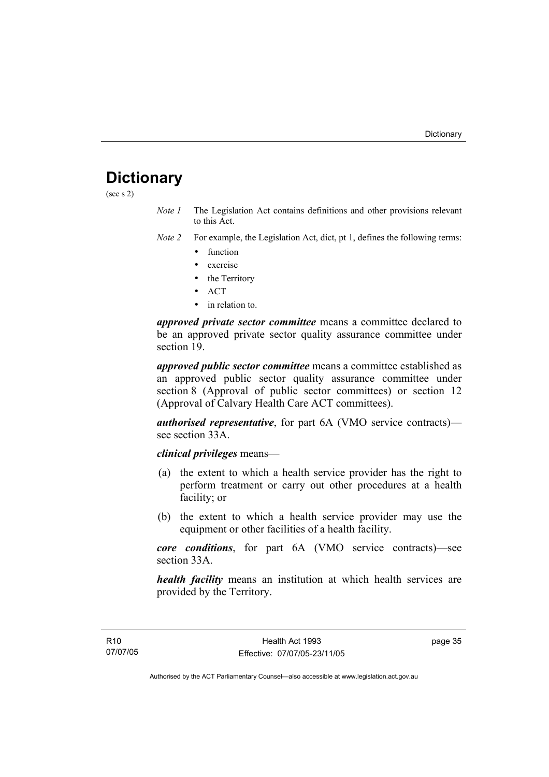## **Dictionary**

(see s 2)

- *Note 1* The Legislation Act contains definitions and other provisions relevant to this Act.
- *Note 2* For example, the Legislation Act, dict, pt 1, defines the following terms:
	- function
	- exercise
	- the Territory
	- ACT
	- in relation to.

*approved private sector committee* means a committee declared to be an approved private sector quality assurance committee under section 19.

*approved public sector committee* means a committee established as an approved public sector quality assurance committee under section 8 (Approval of public sector committees) or section 12 (Approval of Calvary Health Care ACT committees).

*authorised representative*, for part 6A (VMO service contracts) see section 33A

### *clinical privileges* means—

- (a) the extent to which a health service provider has the right to perform treatment or carry out other procedures at a health facility; or
- (b) the extent to which a health service provider may use the equipment or other facilities of a health facility.

*core conditions*, for part 6A (VMO service contracts)—see section 33A.

*health facility* means an institution at which health services are provided by the Territory.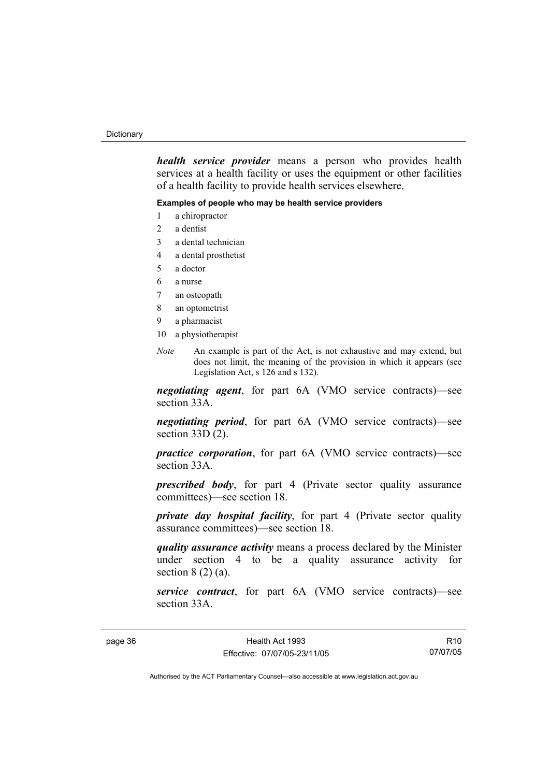#### **Dictionary**

*health service provider* means a person who provides health services at a health facility or uses the equipment or other facilities of a health facility to provide health services elsewhere.

### **Examples of people who may be health service providers**

- 1 a chiropractor
- 2 a dentist
- 3 a dental technician
- 4 a dental prosthetist
- 5 a doctor
- 6 a nurse
- 7 an osteopath
- 8 an optometrist
- 9 a pharmacist
- 10 a physiotherapist
- *Note* An example is part of the Act, is not exhaustive and may extend, but does not limit, the meaning of the provision in which it appears (see Legislation Act, s 126 and s 132).

*negotiating agent*, for part 6A (VMO service contracts)—see section 33A.

*negotiating period*, for part 6A (VMO service contracts)—see section  $33D(2)$ .

*practice corporation*, for part 6A (VMO service contracts)—see section 33A.

*prescribed body*, for part 4 (Private sector quality assurance committees)—see section 18.

*private day hospital facility*, for part 4 (Private sector quality assurance committees)—see section 18.

*quality assurance activity* means a process declared by the Minister under section 4 to be a quality assurance activity for section  $8(2)(a)$ .

*service contract*, for part 6A (VMO service contracts)—see section 33A.

R10 07/07/05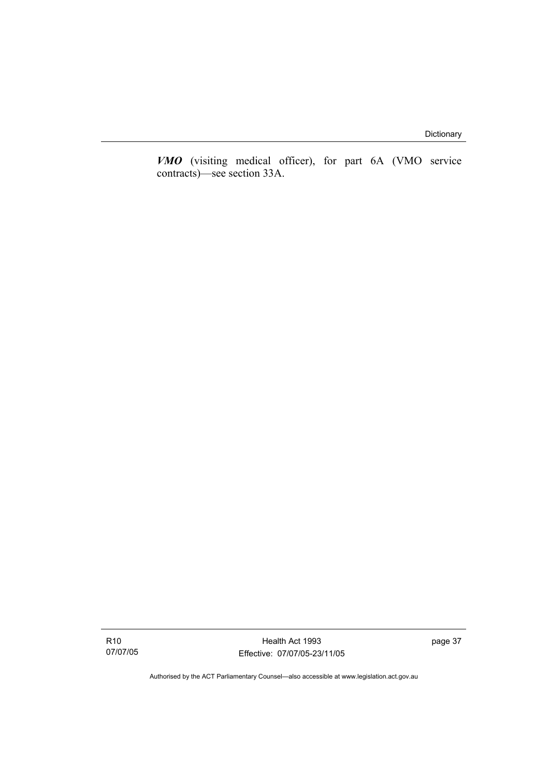*VMO* (visiting medical officer), for part 6A (VMO service contracts)—see section 33A.

R10 07/07/05

Health Act 1993 Effective: 07/07/05-23/11/05 page 37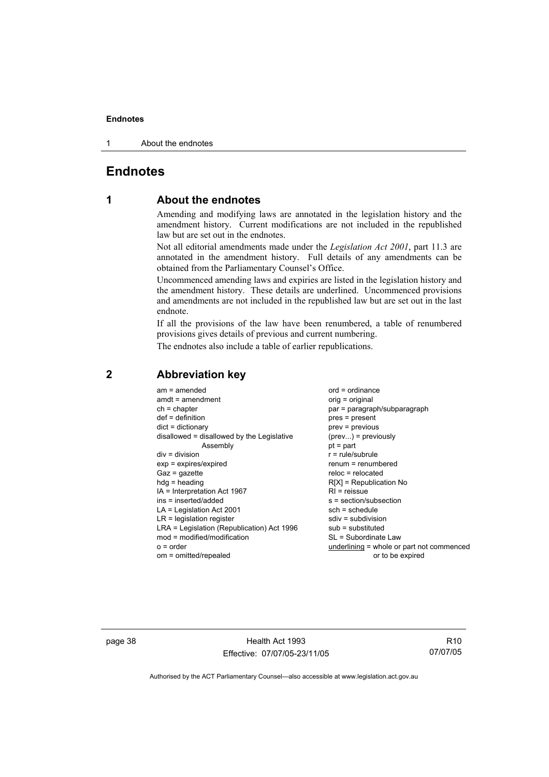1 About the endnotes

## **Endnotes**

## **1 About the endnotes**

Amending and modifying laws are annotated in the legislation history and the amendment history. Current modifications are not included in the republished law but are set out in the endnotes.

Not all editorial amendments made under the *Legislation Act 2001*, part 11.3 are annotated in the amendment history. Full details of any amendments can be obtained from the Parliamentary Counsel's Office.

Uncommenced amending laws and expiries are listed in the legislation history and the amendment history. These details are underlined. Uncommenced provisions and amendments are not included in the republished law but are set out in the last endnote.

If all the provisions of the law have been renumbered, a table of renumbered provisions gives details of previous and current numbering.

The endnotes also include a table of earlier republications.

| $am = amended$                             | $ord = ordinance$                         |
|--------------------------------------------|-------------------------------------------|
| $amdt = amendment$                         | $orig = original$                         |
| $ch = chapter$                             | par = paragraph/subparagraph              |
| $def = definition$                         | pres = present                            |
| $dict = dictionary$                        | $prev = previous$                         |
| disallowed = disallowed by the Legislative | $(\text{prev}) = \text{previously}$       |
| Assembly                                   | $pt = part$                               |
| $div = division$                           | $r = rule/subrule$                        |
| $exp = expires/expired$                    | $renum = renumbered$                      |
| $Gaz = gazette$                            | $reloc = relocated$                       |
| $h dq =$ heading                           | $R[X]$ = Republication No                 |
| $IA = Interpretation Act 1967$             | $RI =$ reissue                            |
| ins = inserted/added                       | $s = section/subsection$                  |
| $LA =$ Legislation Act 2001                | $sch = schedule$                          |
| $LR =$ legislation register                | $sdiv = subdivision$                      |
| LRA = Legislation (Republication) Act 1996 | $sub =$ substituted                       |
| $mod = modified/modification$              | SL = Subordinate Law                      |
| $o = order$                                | underlining = whole or part not commenced |
| om = omitted/repealed                      | or to be expired                          |

### **2 Abbreviation key**

page 38 Health Act 1993 Effective: 07/07/05-23/11/05

R10 07/07/05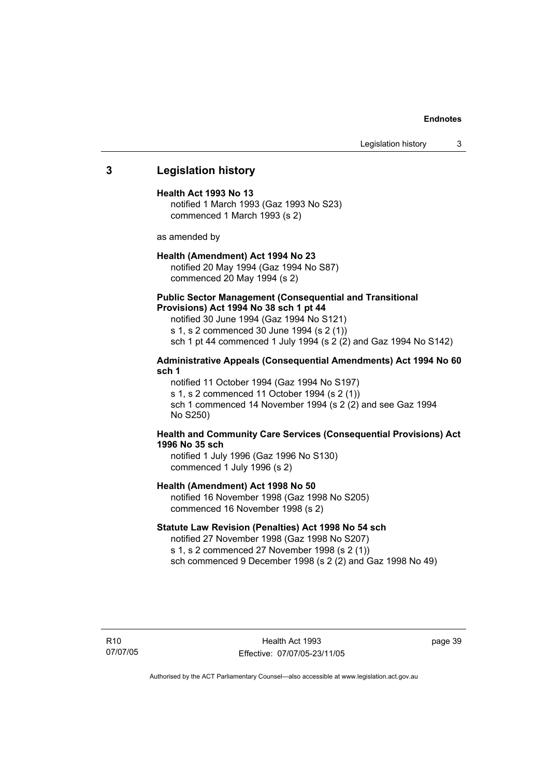Legislation history 3

### **3 Legislation history**

### **Health Act 1993 No 13**

notified 1 March 1993 (Gaz 1993 No S23) commenced 1 March 1993 (s 2)

as amended by

### **Health (Amendment) Act 1994 No 23**

notified 20 May 1994 (Gaz 1994 No S87) commenced 20 May 1994 (s 2)

### **Public Sector Management (Consequential and Transitional Provisions) Act 1994 No 38 sch 1 pt 44**

notified 30 June 1994 (Gaz 1994 No S121) s 1, s 2 commenced 30 June 1994 (s 2 (1)) sch 1 pt 44 commenced 1 July 1994 (s 2 (2) and Gaz 1994 No S142)

### **Administrative Appeals (Consequential Amendments) Act 1994 No 60 sch 1**

notified 11 October 1994 (Gaz 1994 No S197) s 1, s 2 commenced 11 October 1994 (s 2 (1)) sch 1 commenced 14 November 1994 (s 2 (2) and see Gaz 1994 No S250)

### **Health and Community Care Services (Consequential Provisions) Act 1996 No 35 sch**

notified 1 July 1996 (Gaz 1996 No S130) commenced 1 July 1996 (s 2)

#### **Health (Amendment) Act 1998 No 50**

notified 16 November 1998 (Gaz 1998 No S205) commenced 16 November 1998 (s 2)

#### **Statute Law Revision (Penalties) Act 1998 No 54 sch**

notified 27 November 1998 (Gaz 1998 No S207) s 1, s 2 commenced 27 November 1998 (s 2 (1)) sch commenced 9 December 1998 (s 2 (2) and Gaz 1998 No 49)

R10 07/07/05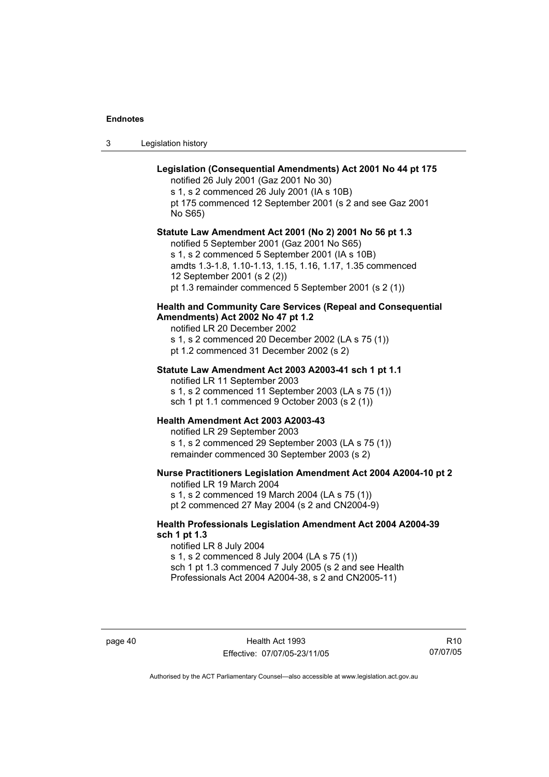| Legislation history | 3 |  |  |
|---------------------|---|--|--|
|---------------------|---|--|--|

| Legislation (Consequential Amendments) Act 2001 No 44 pt 175<br>notified 26 July 2001 (Gaz 2001 No 30)<br>s 1, s 2 commenced 26 July 2001 (IA s 10B)<br>pt 175 commenced 12 September 2001 (s 2 and see Gaz 2001<br>No S65)                                                                                    |
|----------------------------------------------------------------------------------------------------------------------------------------------------------------------------------------------------------------------------------------------------------------------------------------------------------------|
| Statute Law Amendment Act 2001 (No 2) 2001 No 56 pt 1.3<br>notified 5 September 2001 (Gaz 2001 No S65)<br>s 1, s 2 commenced 5 September 2001 (IA s 10B)<br>amdts 1.3-1.8, 1.10-1.13, 1.15, 1.16, 1.17, 1.35 commenced<br>12 September 2001 (s 2 (2))<br>pt 1.3 remainder commenced 5 September 2001 (s 2 (1)) |
| <b>Health and Community Care Services (Repeal and Consequential</b><br>Amendments) Act 2002 No 47 pt 1.2<br>notified LR 20 December 2002<br>s 1, s 2 commenced 20 December 2002 (LA s 75 (1))<br>pt 1.2 commenced 31 December 2002 (s 2)                                                                       |
| Statute Law Amendment Act 2003 A2003-41 sch 1 pt 1.1<br>notified LR 11 September 2003<br>s 1, s 2 commenced 11 September 2003 (LA s 75 (1))<br>sch 1 pt 1.1 commenced 9 October 2003 (s 2 (1))                                                                                                                 |
| Health Amendment Act 2003 A2003-43<br>notified LR 29 September 2003<br>s 1, s 2 commenced 29 September 2003 (LA s 75 (1))<br>remainder commenced 30 September 2003 (s 2)                                                                                                                                       |
| Nurse Practitioners Legislation Amendment Act 2004 A2004-10 pt 2<br>notified LR 19 March 2004<br>s 1, s 2 commenced 19 March 2004 (LA s 75 (1))<br>pt 2 commenced 27 May 2004 (s 2 and CN2004-9)                                                                                                               |
| <b>Health Professionals Legislation Amendment Act 2004 A2004-39</b><br>sch 1 pt 1.3<br>notified LR 8 July 2004<br>s 1, s 2 commenced 8 July 2004 (LA s 75 (1))<br>sch 1 pt 1.3 commenced 7 July 2005 (s 2 and see Health<br>Professionals Act 2004 A2004-38, s 2 and CN2005-11)                                |

page 40 Health Act 1993 Effective: 07/07/05-23/11/05

R10 07/07/05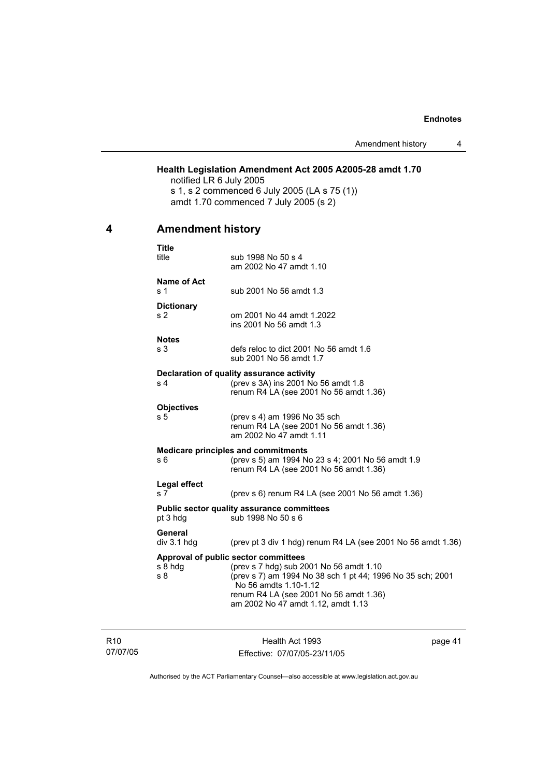### **Health Legislation Amendment Act 2005 A2005-28 amdt 1.70**

notified LR 6 July 2005 s 1, s 2 commenced 6 July 2005 (LA s 75 (1)) amdt 1.70 commenced 7 July 2005 (s 2)

## **4 Amendment history**

|                | Title<br>title                 | sub 1998 No 50 s 4<br>am 2002 No 47 amdt 1.10                                                                                                                                                                                                          |
|----------------|--------------------------------|--------------------------------------------------------------------------------------------------------------------------------------------------------------------------------------------------------------------------------------------------------|
| s 1            | <b>Name of Act</b>             | sub 2001 No 56 amdt 1.3                                                                                                                                                                                                                                |
|                | <b>Dictionary</b><br>s 2       | om 2001 No 44 amdt 1.2022<br>ins 2001 No 56 amdt 1.3                                                                                                                                                                                                   |
|                | <b>Notes</b><br>s 3            | defs reloc to dict 2001 No 56 amdt 1.6<br>sub 2001 No 56 amdt 1.7                                                                                                                                                                                      |
| s <sub>4</sub> |                                | Declaration of quality assurance activity<br>(prev s 3A) ins 2001 No 56 amdt 1.8<br>renum R4 LA (see 2001 No 56 amdt 1.36)                                                                                                                             |
| s 5            | <b>Objectives</b>              | (prev s 4) am 1996 No 35 sch<br>renum R4 LA (see 2001 No 56 amdt 1.36)<br>am 2002 No 47 amdt 1.11                                                                                                                                                      |
| s 6            |                                | <b>Medicare principles and commitments</b><br>(prev s 5) am 1994 No 23 s 4; 2001 No 56 amdt 1.9<br>renum R4 LA (see 2001 No 56 amdt 1.36)                                                                                                              |
|                | Legal effect<br>s <sub>7</sub> | (prev s 6) renum R4 LA (see 2001 No 56 amdt 1.36)                                                                                                                                                                                                      |
|                | pt 3 hdg                       | <b>Public sector quality assurance committees</b><br>sub 1998 No 50 s 6                                                                                                                                                                                |
|                | General<br>$div$ 3.1 hdg       | (prev pt 3 div 1 hdg) renum R4 LA (see 2001 No 56 amdt 1.36)                                                                                                                                                                                           |
| s 8            | s 8 hdg                        | Approval of public sector committees<br>(prev s 7 hdg) sub 2001 No 56 amdt 1.10<br>(prev s 7) am 1994 No 38 sch 1 pt 44; 1996 No 35 sch; 2001<br>No 56 amdts 1.10-1.12<br>renum R4 LA (see 2001 No 56 amdt 1.36)<br>am 2002 No 47 amdt 1.12, amdt 1.13 |

R10 07/07/05

Health Act 1993 Effective: 07/07/05-23/11/05 page 41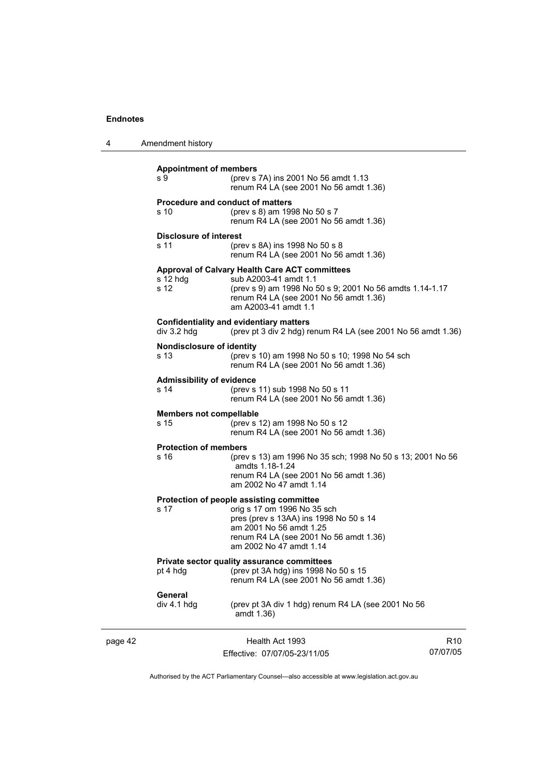page 42

| 4 | Amendment history |
|---|-------------------|
|---|-------------------|

| <b>Appointment of members</b><br>s 9      | (prev s 7A) ins 2001 No 56 amdt 1.13<br>renum R4 LA (see 2001 No 56 amdt 1.36)                                                                                                                                    |                             |
|-------------------------------------------|-------------------------------------------------------------------------------------------------------------------------------------------------------------------------------------------------------------------|-----------------------------|
| s 10                                      | <b>Procedure and conduct of matters</b><br>(prev s 8) am 1998 No 50 s 7<br>renum R4 LA (see 2001 No 56 amdt 1.36)                                                                                                 |                             |
| Disclosure of interest<br>s 11            | (prev s 8A) ins 1998 No 50 s 8<br>renum R4 LA (see 2001 No 56 amdt 1.36)                                                                                                                                          |                             |
| $s$ 12 hdg<br>s 12                        | Approval of Calvary Health Care ACT committees<br>sub A2003-41 amdt 1.1<br>(prev s 9) am 1998 No 50 s 9; 2001 No 56 amdts 1.14-1.17<br>renum R4 LA (see 2001 No 56 amdt 1.36)<br>am A2003-41 amdt 1.1             |                             |
| $div$ 3.2 hdg                             | <b>Confidentiality and evidentiary matters</b><br>(prev pt 3 div 2 hdg) renum R4 LA (see 2001 No 56 amdt 1.36)                                                                                                    |                             |
| <b>Nondisclosure of identity</b><br>s 13. | (prev s 10) am 1998 No 50 s 10; 1998 No 54 sch<br>renum R4 LA (see 2001 No 56 amdt 1.36)                                                                                                                          |                             |
| <b>Admissibility of evidence</b><br>s 14  | (prev s 11) sub 1998 No 50 s 11<br>renum R4 LA (see 2001 No 56 amdt 1.36)                                                                                                                                         |                             |
| <b>Members not compellable</b><br>s 15    | (prev s 12) am 1998 No 50 s 12<br>renum R4 LA (see 2001 No 56 amdt 1.36)                                                                                                                                          |                             |
| <b>Protection of members</b><br>s 16      | (prev s 13) am 1996 No 35 sch; 1998 No 50 s 13; 2001 No 56<br>amdts 1.18-1.24<br>renum R4 LA (see 2001 No 56 amdt 1.36)<br>am 2002 No 47 amdt 1.14                                                                |                             |
| s 17                                      | Protection of people assisting committee<br>orig s 17 om 1996 No 35 sch<br>pres (prev s 13AA) ins 1998 No 50 s 14<br>am 2001 No 56 amdt 1.25<br>renum R4 LA (see 2001 No 56 amdt 1.36)<br>am 2002 No 47 amdt 1.14 |                             |
| pt 4 hdg                                  | <b>Private sector quality assurance committees</b><br>(prev pt 3A hdg) ins 1998 No 50 s 15<br>renum R4 LA (see 2001 No 56 amdt 1.36)                                                                              |                             |
| General<br>div 4.1 hdg                    | (prev pt 3A div 1 hdg) renum R4 LA (see 2001 No 56<br>amdt 1.36)                                                                                                                                                  |                             |
|                                           | Health Act 1993<br>Effective: 07/07/05-23/11/05                                                                                                                                                                   | R <sub>10</sub><br>07/07/05 |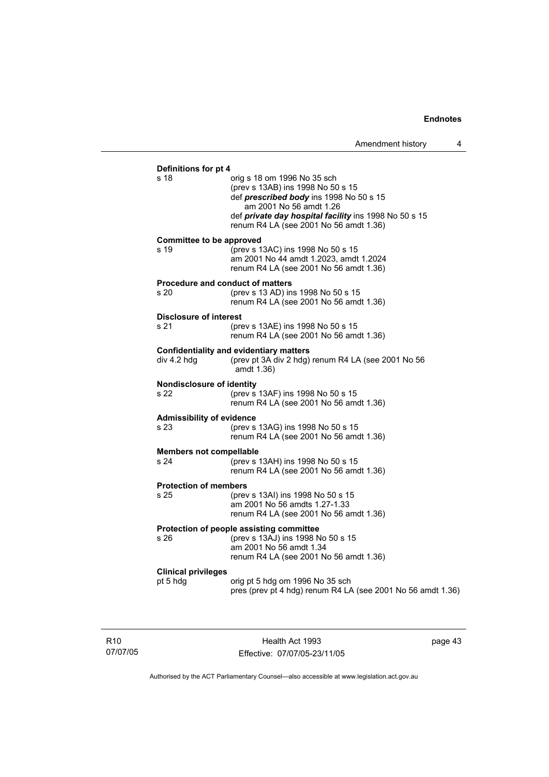| Definitions for pt 4             |                                                             |
|----------------------------------|-------------------------------------------------------------|
| s 18                             | orig s 18 om 1996 No 35 sch                                 |
|                                  | (prev s 13AB) ins 1998 No 50 s 15                           |
|                                  | def prescribed body ins 1998 No 50 s 15                     |
|                                  | am 2001 No 56 amdt 1.26                                     |
|                                  | def private day hospital facility ins 1998 No 50 s 15       |
|                                  | renum R4 LA (see 2001 No 56 amdt 1.36)                      |
| Committee to be approved         |                                                             |
| s 19                             | (prev s 13AC) ins 1998 No 50 s 15                           |
|                                  | am 2001 No 44 amdt 1.2023, amdt 1.2024                      |
|                                  | renum R4 LA (see 2001 No 56 amdt 1.36)                      |
|                                  | <b>Procedure and conduct of matters</b>                     |
| s 20                             | (prev s 13 AD) ins 1998 No 50 s 15                          |
|                                  | renum R4 LA (see 2001 No 56 amdt 1.36)                      |
| <b>Disclosure of interest</b>    |                                                             |
| s 21                             | (prev s 13AE) ins 1998 No 50 s 15                           |
|                                  | renum R4 LA (see 2001 No 56 amdt 1.36)                      |
|                                  |                                                             |
|                                  | <b>Confidentiality and evidentiary matters</b>              |
| div 4.2 hdg                      | (prev pt 3A div 2 hdg) renum R4 LA (see 2001 No 56          |
|                                  | amdt 1.36)                                                  |
| Nondisclosure of identity        |                                                             |
| s 22                             | (prev s 13AF) ins 1998 No 50 s 15                           |
|                                  | renum R4 LA (see 2001 No 56 amdt 1.36)                      |
| <b>Admissibility of evidence</b> |                                                             |
| s 23                             | (prev s 13AG) ins 1998 No 50 s 15                           |
|                                  | renum R4 LA (see 2001 No 56 amdt 1.36)                      |
| <b>Members not compellable</b>   |                                                             |
| s 24                             | (prev s 13AH) ins 1998 No 50 s 15                           |
|                                  | renum R4 LA (see 2001 No 56 amdt 1.36)                      |
|                                  |                                                             |
| <b>Protection of members</b>     |                                                             |
| s 25                             | (prev s 13AI) ins 1998 No 50 s 15                           |
|                                  | am 2001 No 56 amdts 1.27-1.33                               |
|                                  | renum R4 LA (see 2001 No 56 amdt 1.36)                      |
|                                  | Protection of people assisting committee                    |
| s 26                             | (prev s 13AJ) ins 1998 No 50 s 15                           |
|                                  | am 2001 No 56 amdt 1.34                                     |
|                                  | renum R4 LA (see 2001 No 56 amdt 1.36)                      |
| <b>Clinical privileges</b>       |                                                             |
| pt 5 hdg                         | orig pt 5 hdg om 1996 No 35 sch                             |
|                                  | pres (prev pt 4 hdg) renum R4 LA (see 2001 No 56 amdt 1.36) |
|                                  |                                                             |
|                                  |                                                             |

R10 07/07/05

Health Act 1993 Effective: 07/07/05-23/11/05 page 43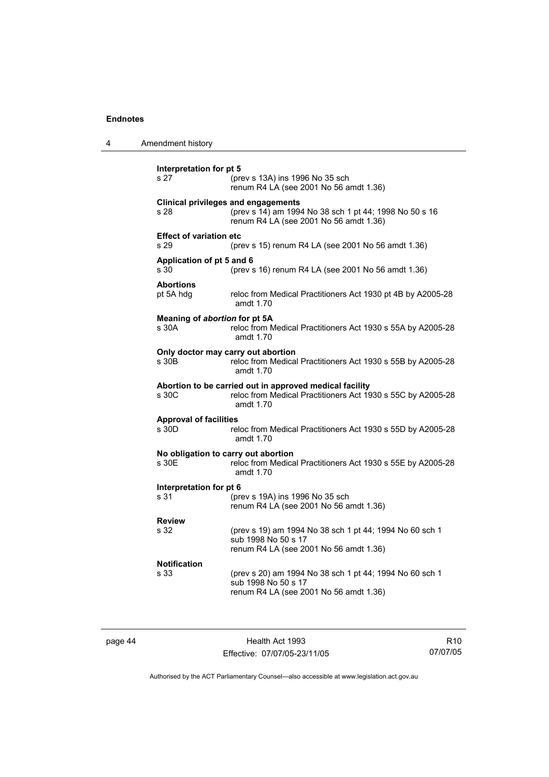| 4 | Amendment history                      |                                                                                                                                                |
|---|----------------------------------------|------------------------------------------------------------------------------------------------------------------------------------------------|
|   | Interpretation for pt 5<br>s 27        | (prev s 13A) ins 1996 No 35 sch<br>renum R4 LA (see 2001 No 56 amdt 1.36)                                                                      |
|   | s 28                                   | <b>Clinical privileges and engagements</b><br>(prev s 14) am 1994 No 38 sch 1 pt 44; 1998 No 50 s 16<br>renum R4 LA (see 2001 No 56 amdt 1.36) |
|   | <b>Effect of variation etc</b><br>s 29 | (prev s 15) renum R4 LA (see 2001 No 56 amdt 1.36)                                                                                             |
|   | Application of pt 5 and 6<br>s.30      | (prev s 16) renum R4 LA (see 2001 No 56 amdt 1.36)                                                                                             |
|   | <b>Abortions</b><br>pt 5A hdg          | reloc from Medical Practitioners Act 1930 pt 4B by A2005-28<br>amdt 1.70                                                                       |
|   | Meaning of abortion for pt 5A<br>s 30A | reloc from Medical Practitioners Act 1930 s 55A by A2005-28<br>amdt 1.70                                                                       |
|   | s 30B                                  | Only doctor may carry out abortion<br>reloc from Medical Practitioners Act 1930 s 55B by A2005-28<br>amdt 1.70                                 |
|   | s 30C                                  | Abortion to be carried out in approved medical facility<br>reloc from Medical Practitioners Act 1930 s 55C by A2005-28<br>amdt 1.70            |
|   | <b>Approval of facilities</b><br>s 30D | reloc from Medical Practitioners Act 1930 s 55D by A2005-28<br>amdt 1.70                                                                       |
|   | s 30E                                  | No obligation to carry out abortion<br>reloc from Medical Practitioners Act 1930 s 55E by A2005-28<br>amdt 1.70                                |
|   | Interpretation for pt 6<br>s 31        | (prev s 19A) ins 1996 No 35 sch<br>renum R4 LA (see 2001 No 56 amdt 1.36)                                                                      |
|   | <b>Review</b><br>s 32                  | (prev s 19) am 1994 No 38 sch 1 pt 44; 1994 No 60 sch 1<br>sub 1998 No 50 s 17<br>renum R4 LA (see 2001 No 56 amdt 1.36)                       |
|   | Notification<br>s 33                   | (prev s 20) am 1994 No 38 sch 1 pt 44; 1994 No 60 sch 1<br>sub 1998 No 50 s 17<br>renum R4 LA (see 2001 No 56 amdt 1.36)                       |

page 44 **Health Act 1993** Effective: 07/07/05-23/11/05

R10 07/07/05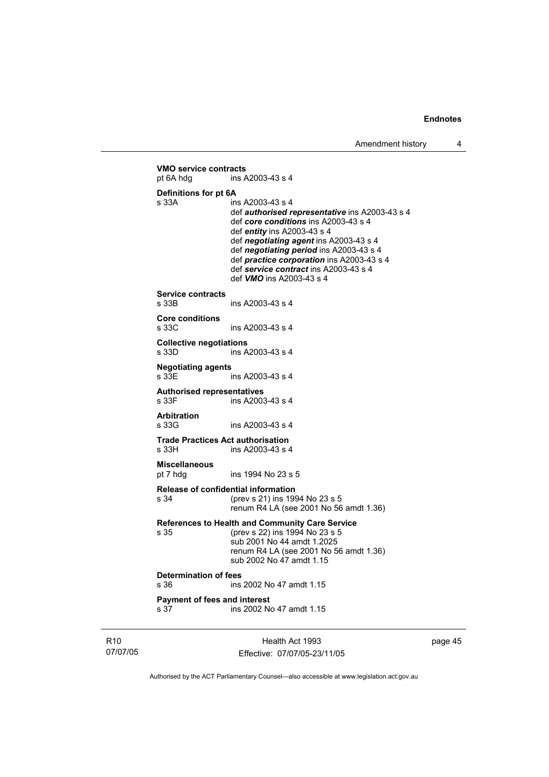Health Act 1993 **VMO service contracts**  pt 6A hdg ins A2003-43 s 4 **Definitions for pt 6A**  s 33A ins A2003-43 s 4 def *authorised representative* ins A2003-43 s 4 def *core conditions* ins A2003-43 s 4 def *entity* ins A2003-43 s 4 def *negotiating agent* ins A2003-43 s 4 def *negotiating period* ins A2003-43 s 4 def *practice corporation* ins A2003-43 s 4 def *service contract* ins A2003-43 s 4 def *VMO* ins A2003-43 s 4 **Service contracts**  ins A2003-43 s 4 **Core conditions**  ins A2003-43 s 4 **Collective negotiations**  s 33D ins A2003-43 s 4 **Negotiating agents**  ins A2003-43 s 4 **Authorised representatives**  s 33F ins A2003-43 s 4 **Arbitration**  s 33G ins A2003-43 s 4 **Trade Practices Act authorisation**  ins A2003-43 s 4 **Miscellaneous** pt 7 hdg ins 1994 No 23 s 5 **Release of confidential information** s 34 (prev s 21) ins 1994 No 23 s 5 renum R4 LA (see 2001 No 56 amdt 1.36) **References to Health and Community Care Service** s 35 (prev s 22) ins 1994 No 23 s 5 sub 2001 No 44 amdt 1.2025 renum R4 LA (see 2001 No 56 amdt 1.36) sub 2002 No 47 amdt 1.15 **Determination of fees**  s 36 ins 2002 No 47 amdt 1.15 **Payment of fees and interest**  s 37 ins 2002 No 47 amdt 1.15

R10 07/07/05

Effective: 07/07/05-23/11/05

page 45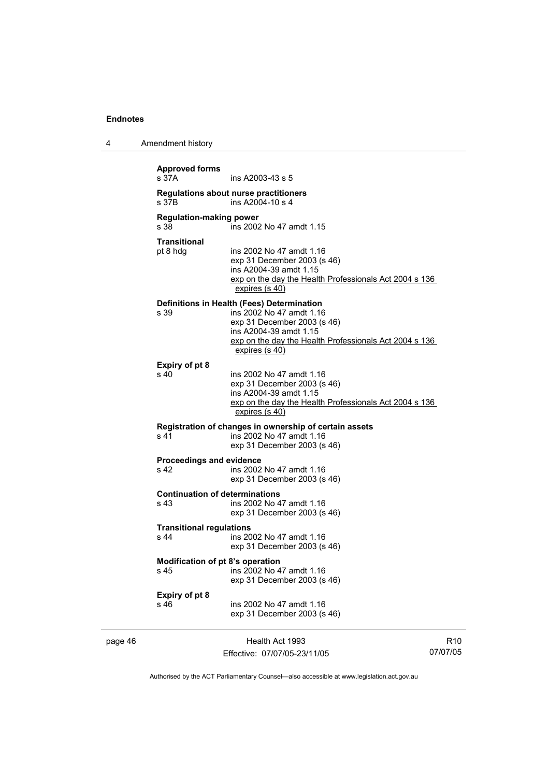| 4       | Amendment history                             |                                                                                                                                                                                                             |                 |
|---------|-----------------------------------------------|-------------------------------------------------------------------------------------------------------------------------------------------------------------------------------------------------------------|-----------------|
|         | <b>Approved forms</b><br>s 37A                | ins A2003-43 s 5                                                                                                                                                                                            |                 |
|         | s 37B                                         | Regulations about nurse practitioners<br>ins A2004-10 s 4                                                                                                                                                   |                 |
|         | <b>Regulation-making power</b><br>s 38        | ins 2002 No 47 amdt 1.15                                                                                                                                                                                    |                 |
|         | <b>Transitional</b><br>pt 8 hdg               | ins 2002 No 47 amdt 1.16<br>exp 31 December 2003 (s 46)<br>ins A2004-39 amdt 1.15<br>exp on the day the Health Professionals Act 2004 s 136<br>expires (s 40)                                               |                 |
|         | s 39                                          | Definitions in Health (Fees) Determination<br>ins 2002 No 47 amdt 1.16<br>exp 31 December 2003 (s 46)<br>ins A2004-39 amdt 1.15<br>exp on the day the Health Professionals Act 2004 s 136<br>expires (s 40) |                 |
|         | Expiry of pt 8<br>s 40                        | ins 2002 No 47 amdt 1.16<br>exp 31 December 2003 (s 46)<br>ins A2004-39 amdt 1.15<br>exp on the day the Health Professionals Act 2004 s 136<br>expires (s 40)                                               |                 |
|         | s 41                                          | Registration of changes in ownership of certain assets<br>ins 2002 No 47 amdt 1.16<br>exp 31 December 2003 (s 46)                                                                                           |                 |
|         | <b>Proceedings and evidence</b><br>s 42       | ins 2002 No 47 amdt 1.16<br>exp 31 December 2003 (s 46)                                                                                                                                                     |                 |
|         | <b>Continuation of determinations</b><br>s 43 | ins 2002 No 47 amdt 1.16<br>exp 31 December 2003 (s 46)                                                                                                                                                     |                 |
|         | <b>Transitional regulations</b><br>s 44       | ins 2002 No 47 amdt 1.16<br>exp 31 December 2003 (s 46)                                                                                                                                                     |                 |
|         | Modification of pt 8's operation<br>s 45      | ins 2002 No 47 amdt 1.16<br>exp 31 December 2003 (s 46)                                                                                                                                                     |                 |
|         | Expiry of pt 8<br>s 46                        | ins 2002 No 47 amdt 1.16<br>exp 31 December 2003 (s 46)                                                                                                                                                     |                 |
| page 46 |                                               | Health Act 1993                                                                                                                                                                                             | R <sub>10</sub> |

Authorised by the ACT Parliamentary Counsel—also accessible at www.legislation.act.gov.au

07/07/05

Effective: 07/07/05-23/11/05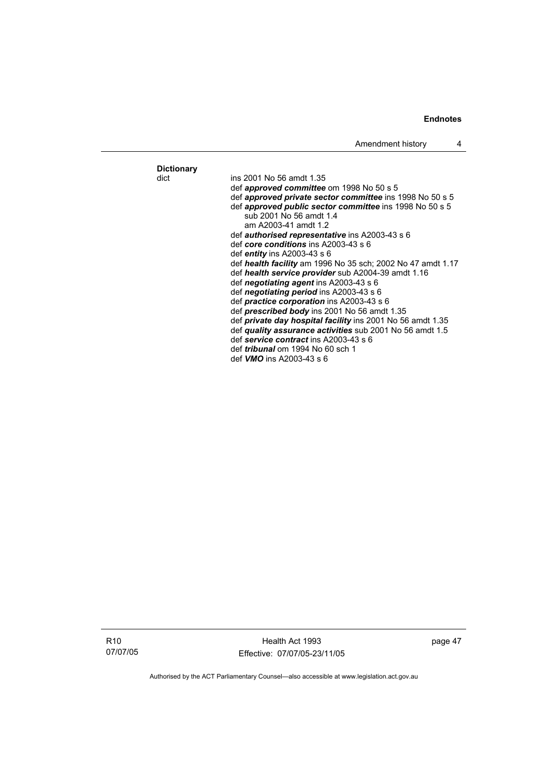## **Dictionary**

ins 2001 No 56 amdt 1.35 def *approved committee* om 1998 No 50 s 5 def *approved private sector committee* ins 1998 No 50 s 5 def *approved public sector committee* ins 1998 No 50 s 5 sub 2001 No 56 amdt 1.4 am A2003-41 amdt 1.2 def *authorised representative* ins A2003-43 s 6 def *core conditions* ins A2003-43 s 6 def *entity* ins A2003-43 s 6 def *health facility* am 1996 No 35 sch; 2002 No 47 amdt 1.17 def *health service provider* sub A2004-39 amdt 1.16 def *negotiating agent* ins A2003-43 s 6 def *negotiating period* ins A2003-43 s 6 def *practice corporation* ins A2003-43 s 6 def *prescribed body* ins 2001 No 56 amdt 1.35 def *private day hospital facility* ins 2001 No 56 amdt 1.35 def *quality assurance activities* sub 2001 No 56 amdt 1.5 def *service contract* ins A2003-43 s 6 def *tribunal* om 1994 No 60 sch 1

def *VMO* ins A2003-43 s 6

R10 07/07/05